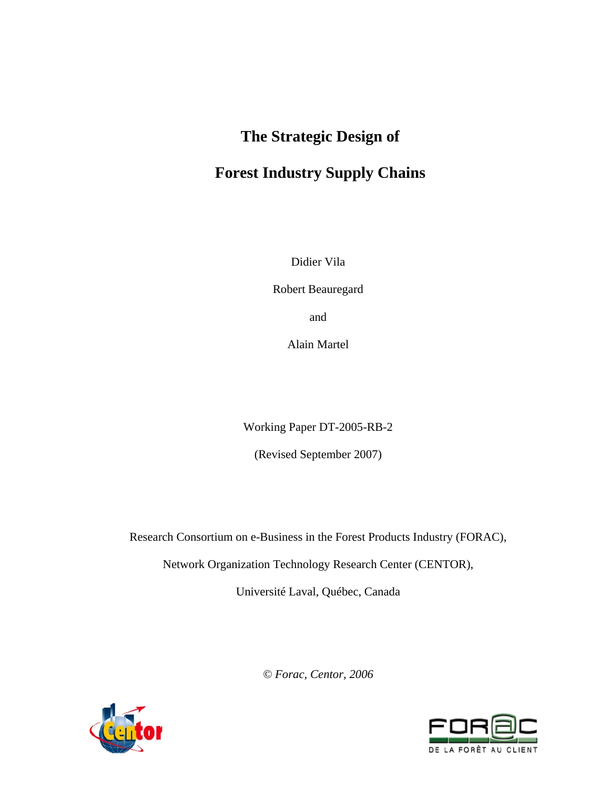# **The Strategic Design of**

# **Forest Industry Supply Chains**

Didier Vila

Robert Beauregard

and

Alain Martel

Working Paper DT-2005-RB-2

(Revised September 2007)

Research Consortium on e-Business in the Forest Products Industry (FORAC),

Network Organization Technology Research Center (CENTOR),

Université Laval, Québec, Canada

*© Forac, Centor, 2006*



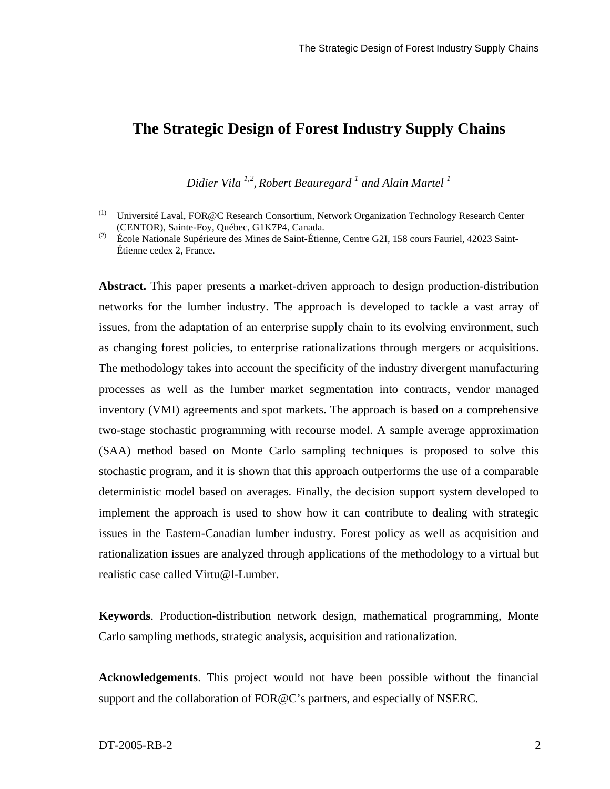# **The Strategic Design of Forest Industry Supply Chains**

*Didier Vila 1,2, Robert Beauregard 1 and Alain Martel 1* 

(2) École Nationale Supérieure des Mines de Saint-Étienne, Centre G2I, 158 cours Fauriel, 42023 Saint-Étienne cedex 2, France.

**Abstract.** This paper presents a market-driven approach to design production-distribution networks for the lumber industry. The approach is developed to tackle a vast array of issues, from the adaptation of an enterprise supply chain to its evolving environment, such as changing forest policies, to enterprise rationalizations through mergers or acquisitions. The methodology takes into account the specificity of the industry divergent manufacturing processes as well as the lumber market segmentation into contracts, vendor managed inventory (VMI) agreements and spot markets. The approach is based on a comprehensive two-stage stochastic programming with recourse model. A sample average approximation (SAA) method based on Monte Carlo sampling techniques is proposed to solve this stochastic program, and it is shown that this approach outperforms the use of a comparable deterministic model based on averages. Finally, the decision support system developed to implement the approach is used to show how it can contribute to dealing with strategic issues in the Eastern-Canadian lumber industry. Forest policy as well as acquisition and rationalization issues are analyzed through applications of the methodology to a virtual but realistic case called Virtu@l-Lumber.

**Keywords**. Production-distribution network design, mathematical programming, Monte Carlo sampling methods, strategic analysis, acquisition and rationalization.

**Acknowledgements**. This project would not have been possible without the financial support and the collaboration of FOR@C's partners, and especially of NSERC.

<sup>(1)</sup> Université Laval, FOR@C Research Consortium, Network Organization Technology Research Center (CENTOR), Sainte-Foy, Québec, G1K7P4, Canada.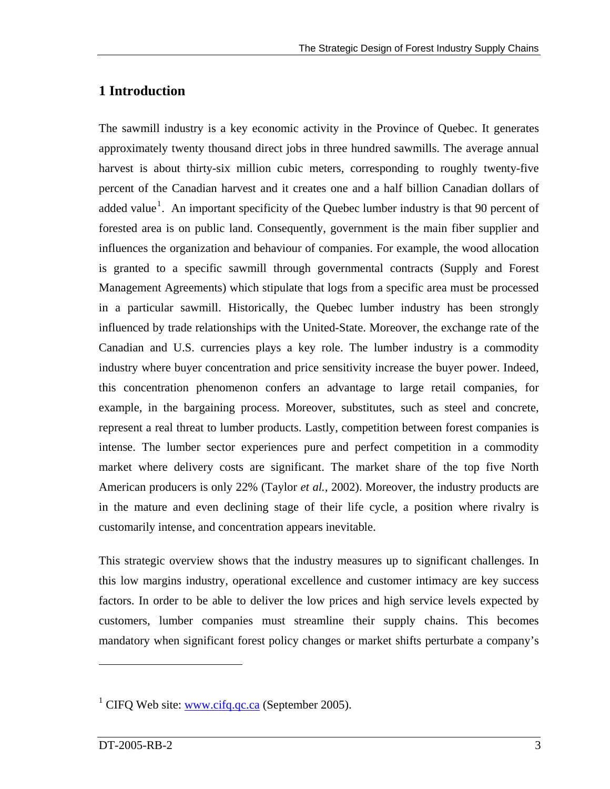## **1 Introduction**

The sawmill industry is a key economic activity in the Province of Quebec. It generates approximately twenty thousand direct jobs in three hundred sawmills. The average annual harvest is about thirty-six million cubic meters, corresponding to roughly twenty-five percent of the Canadian harvest and it creates one and a half billion Canadian dollars of added value<sup>[1](#page-2-0)</sup>. An important specificity of the Quebec lumber industry is that 90 percent of forested area is on public land. Consequently, government is the main fiber supplier and influences the organization and behaviour of companies. For example, the wood allocation is granted to a specific sawmill through governmental contracts (Supply and Forest Management Agreements) which stipulate that logs from a specific area must be processed in a particular sawmill. Historically, the Quebec lumber industry has been strongly influenced by trade relationships with the United-State. Moreover, the exchange rate of the Canadian and U.S. currencies plays a key role. The lumber industry is a commodity industry where buyer concentration and price sensitivity increase the buyer power. Indeed, this concentration phenomenon confers an advantage to large retail companies, for example, in the bargaining process. Moreover, substitutes, such as steel and concrete, represent a real threat to lumber products. Lastly, competition between forest companies is intense. The lumber sector experiences pure and perfect competition in a commodity market where delivery costs are significant. The market share of the top five North American producers is only 22% (Taylor *et al.,* 2002). Moreover, the industry products are in the mature and even declining stage of their life cycle, a position where rivalry is customarily intense, and concentration appears inevitable.

This strategic overview shows that the industry measures up to significant challenges. In this low margins industry, operational excellence and customer intimacy are key success factors. In order to be able to deliver the low prices and high service levels expected by customers, lumber companies must streamline their supply chains. This becomes mandatory when significant forest policy changes or market shifts perturbate a company's

1

<span id="page-2-0"></span><sup>&</sup>lt;sup>1</sup> CIFQ Web site:  $\frac{www.cifq.qc.ca}{www.cifq.qc.ca}$  (September 2005).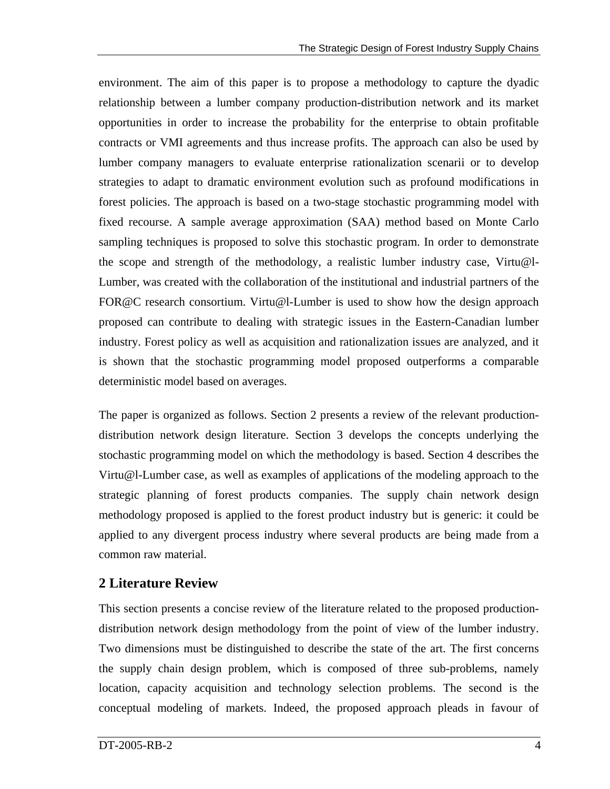environment. The aim of this paper is to propose a methodology to capture the dyadic relationship between a lumber company production-distribution network and its market opportunities in order to increase the probability for the enterprise to obtain profitable contracts or VMI agreements and thus increase profits. The approach can also be used by lumber company managers to evaluate enterprise rationalization scenarii or to develop strategies to adapt to dramatic environment evolution such as profound modifications in forest policies. The approach is based on a two-stage stochastic programming model with fixed recourse. A sample average approximation (SAA) method based on Monte Carlo sampling techniques is proposed to solve this stochastic program. In order to demonstrate the scope and strength of the methodology, a realistic lumber industry case, Virtu@l-Lumber, was created with the collaboration of the institutional and industrial partners of the FOR@C research consortium. Virtu@l-Lumber is used to show how the design approach proposed can contribute to dealing with strategic issues in the Eastern-Canadian lumber industry. Forest policy as well as acquisition and rationalization issues are analyzed, and it is shown that the stochastic programming model proposed outperforms a comparable deterministic model based on averages.

The paper is organized as follows. Section 2 presents a review of the relevant productiondistribution network design literature. Section 3 develops the concepts underlying the stochastic programming model on which the methodology is based. Section 4 describes the Virtu@l-Lumber case, as well as examples of applications of the modeling approach to the strategic planning of forest products companies. The supply chain network design methodology proposed is applied to the forest product industry but is generic: it could be applied to any divergent process industry where several products are being made from a common raw material.

## **2 Literature Review**

This section presents a concise review of the literature related to the proposed productiondistribution network design methodology from the point of view of the lumber industry. Two dimensions must be distinguished to describe the state of the art. The first concerns the supply chain design problem, which is composed of three sub-problems, namely location, capacity acquisition and technology selection problems. The second is the conceptual modeling of markets. Indeed, the proposed approach pleads in favour of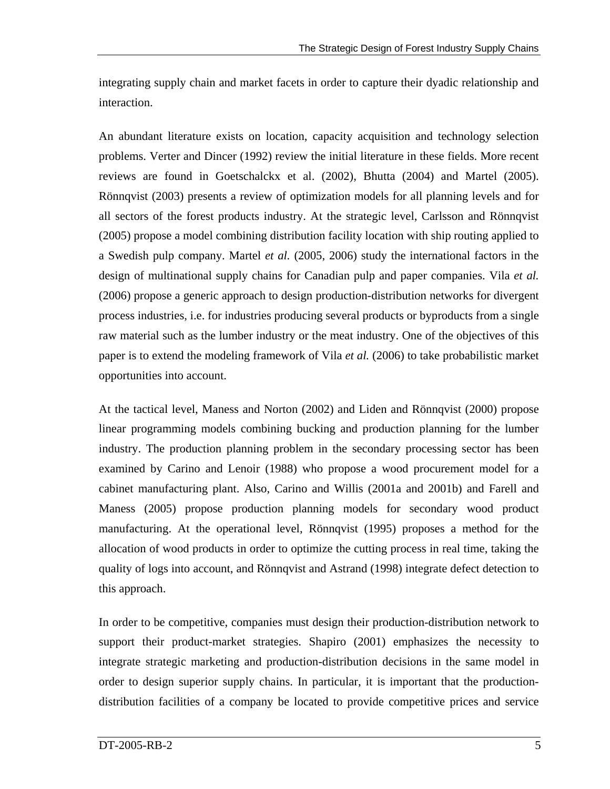integrating supply chain and market facets in order to capture their dyadic relationship and interaction.

An abundant literature exists on location, capacity acquisition and technology selection problems. Verter and Dincer (1992) review the initial literature in these fields. More recent reviews are found in Goetschalckx et al. (2002), Bhutta (2004) and Martel (2005). Rönnqvist (2003) presents a review of optimization models for all planning levels and for all sectors of the forest products industry. At the strategic level, Carlsson and Rönnqvist (2005) propose a model combining distribution facility location with ship routing applied to a Swedish pulp company. Martel *et al.* (2005, 2006) study the international factors in the design of multinational supply chains for Canadian pulp and paper companies. Vila *et al.* (2006) propose a generic approach to design production-distribution networks for divergent process industries, i.e. for industries producing several products or byproducts from a single raw material such as the lumber industry or the meat industry. One of the objectives of this paper is to extend the modeling framework of Vila *et al.* (2006) to take probabilistic market opportunities into account.

At the tactical level, Maness and Norton (2002) and Liden and Rönnqvist (2000) propose linear programming models combining bucking and production planning for the lumber industry. The production planning problem in the secondary processing sector has been examined by Carino and Lenoir (1988) who propose a wood procurement model for a cabinet manufacturing plant. Also, Carino and Willis (2001a and 2001b) and Farell and Maness (2005) propose production planning models for secondary wood product manufacturing. At the operational level, Rönnqvist (1995) proposes a method for the allocation of wood products in order to optimize the cutting process in real time, taking the quality of logs into account, and Rönnqvist and Astrand (1998) integrate defect detection to this approach.

In order to be competitive, companies must design their production-distribution network to support their product-market strategies. Shapiro (2001) emphasizes the necessity to integrate strategic marketing and production-distribution decisions in the same model in order to design superior supply chains. In particular, it is important that the productiondistribution facilities of a company be located to provide competitive prices and service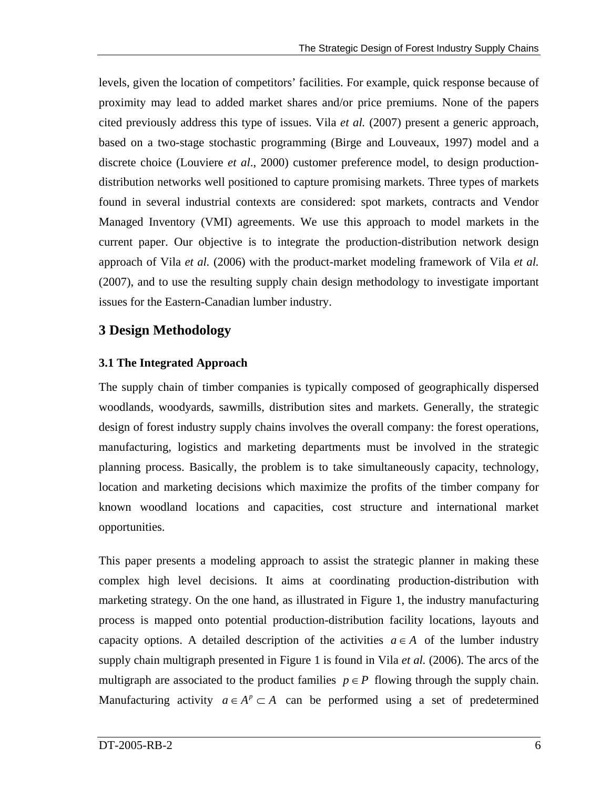levels, given the location of competitors' facilities. For example, quick response because of proximity may lead to added market shares and/or price premiums. None of the papers cited previously address this type of issues. Vila *et al.* (2007) present a generic approach, based on a two-stage stochastic programming (Birge and Louveaux, 1997) model and a discrete choice (Louviere *et al*., 2000) customer preference model, to design productiondistribution networks well positioned to capture promising markets. Three types of markets found in several industrial contexts are considered: spot markets, contracts and Vendor Managed Inventory (VMI) agreements. We use this approach to model markets in the current paper. Our objective is to integrate the production-distribution network design approach of Vila *et al.* (2006) with the product-market modeling framework of Vila *et al.* (2007), and to use the resulting supply chain design methodology to investigate important issues for the Eastern-Canadian lumber industry.

## **3 Design Methodology**

## **3.1 The Integrated Approach**

The supply chain of timber companies is typically composed of geographically dispersed woodlands, woodyards, sawmills, distribution sites and markets. Generally, the strategic design of forest industry supply chains involves the overall company: the forest operations, manufacturing, logistics and marketing departments must be involved in the strategic planning process. Basically, the problem is to take simultaneously capacity, technology, location and marketing decisions which maximize the profits of the timber company for known woodland locations and capacities, cost structure and international market opportunities.

This paper presents a modeling approach to assist the strategic planner in making these complex high level decisions. It aims at coordinating production-distribution with marketing strategy. On the one hand, as illustrated in [Figure 1](#page-6-0), the industry manufacturing process is mapped onto potential production-distribution facility locations, layouts and capacity options. A detailed description of the activities  $a \in A$  of the lumber industry supply chain multigraph presented in Figure 1 is found in Vila *et al.* (2006). The arcs of the multigraph are associated to the product families  $p \in P$  flowing through the supply chain. Manufacturing activity  $a \in A^p \subset A$  can be performed using a set of predetermined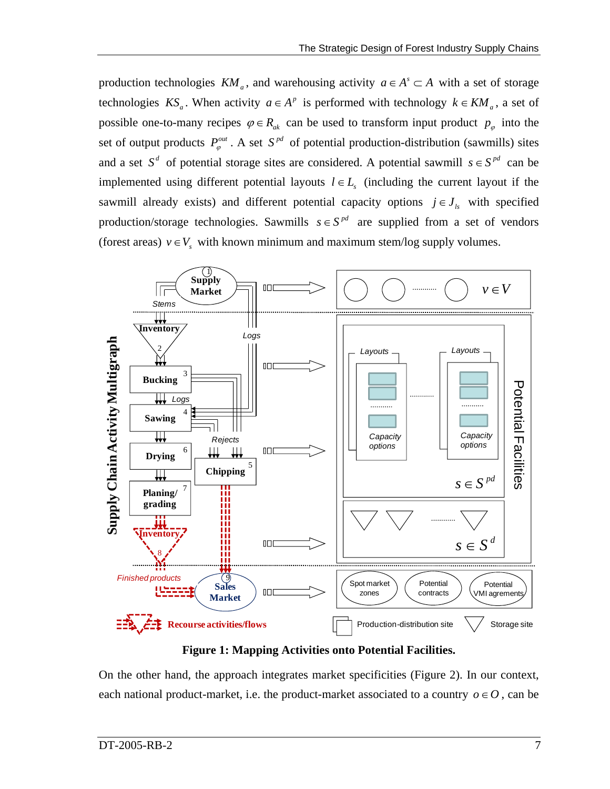production technologies  $KM_a$ , and warehousing activity  $a \in A^s \subset A$  with a set of storage technologies  $KS_a$ . When activity  $a \in A^p$  is performed with technology  $k \in KM_a$ , a set of possible one-to-many recipes  $\varphi \in R_{ak}$  can be used to transform input product  $p_{\varphi}$  into the set of output products  $P_{\varphi}^{out}$ . A set  $S^{pd}$  of potential production-distribution (sawmills) sites and a set  $S^d$  of potential storage sites are considered. A potential sawmill  $s \in S^{pd}$  can be implemented using different potential layouts  $l \in L<sub>s</sub>$  (including the current layout if the sawmill already exists) and different potential capacity options  $j \in J_{ls}$  with specified production/storage technologies. Sawmills  $s \in S^{pd}$  are supplied from a set of vendors (forest areas)  $v \in V_s$  with known minimum and maximum stem/log supply volumes.



**Figure 1: Mapping Activities onto Potential Facilities.** 

<span id="page-6-0"></span>On the other hand, the approach integrates market specificities [\(Figure 2\)](#page-7-0). In our context, each national product-market, i.e. the product-market associated to a country  $o \in O$ , can be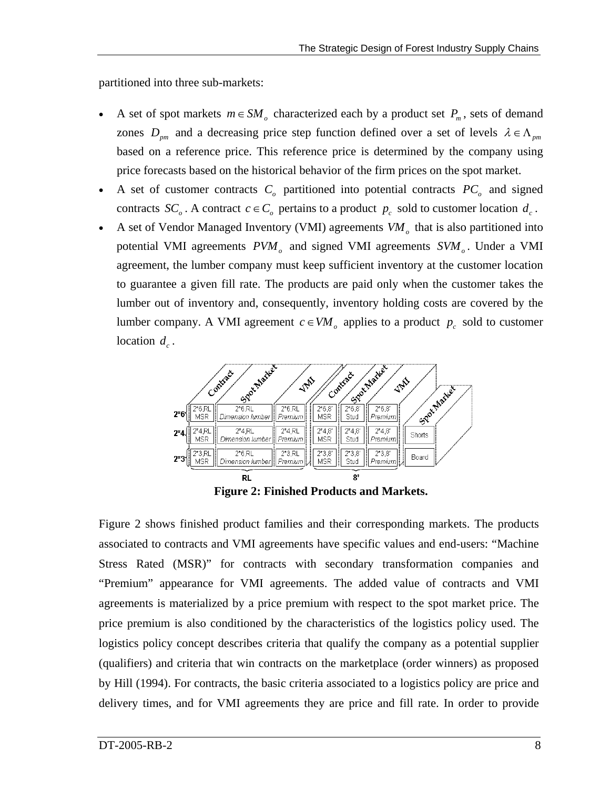partitioned into three sub-markets:

- A set of spot markets  $m \in SM$ <sub>o</sub> characterized each by a product set  $P_m$ , sets of demand zones  $D_{pm}$  and a decreasing price step function defined over a set of levels  $\lambda \in \Lambda_{pm}$ based on a reference price. This reference price is determined by the company using price forecasts based on the historical behavior of the firm prices on the spot market.
- A set of customer contracts  $C_{\rho}$  partitioned into potential contracts  $PC_{\rho}$  and signed contracts  $SC_o$ . A contract  $c \in C_o$  pertains to a product  $p_c$  sold to customer location  $d_c$ .
- A set of Vendor Managed Inventory (VMI) agreements  $VM<sub>o</sub>$  that is also partitioned into potential VMI agreements  $PVM<sub>o</sub>$  and signed VMI agreements  $SVM<sub>o</sub>$ . Under a VMI agreement, the lumber company must keep sufficient inventory at the customer location to guarantee a given fill rate. The products are paid only when the customer takes the lumber out of inventory and, consequently, inventory holding costs are covered by the lumber company. A VMI agreement  $c \in VM$ <sub>o</sub> applies to a product  $p_c$  sold to customer location  $d_c$ .



**Figure 2: Finished Products and Markets.** 

<span id="page-7-0"></span>[Figure 2](#page-7-0) shows finished product families and their corresponding markets. The products associated to contracts and VMI agreements have specific values and end-users: "Machine Stress Rated (MSR)" for contracts with secondary transformation companies and "Premium" appearance for VMI agreements. The added value of contracts and VMI agreements is materialized by a price premium with respect to the spot market price. The price premium is also conditioned by the characteristics of the logistics policy used. The logistics policy concept describes criteria that qualify the company as a potential supplier (qualifiers) and criteria that win contracts on the marketplace (order winners) as proposed by Hill (1994). For contracts, the basic criteria associated to a logistics policy are price and delivery times, and for VMI agreements they are price and fill rate. In order to provide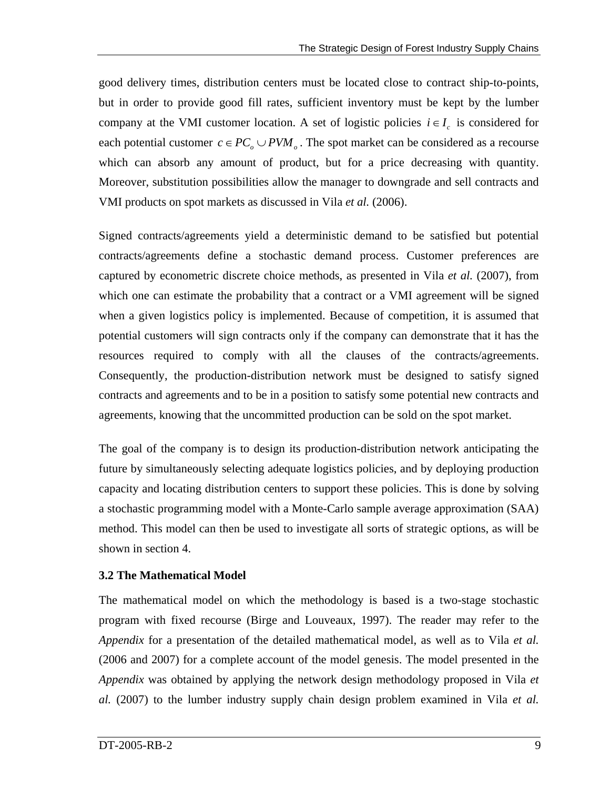good delivery times, distribution centers must be located close to contract ship-to-points, but in order to provide good fill rates, sufficient inventory must be kept by the lumber company at the VMI customer location. A set of logistic policies  $i \in I_c$  is considered for each potential customer  $c \in PC_o \cup PVM_o$ . The spot market can be considered as a recourse which can absorb any amount of product, but for a price decreasing with quantity. Moreover, substitution possibilities allow the manager to downgrade and sell contracts and VMI products on spot markets as discussed in Vila *et al.* (2006).

Signed contracts/agreements yield a deterministic demand to be satisfied but potential contracts/agreements define a stochastic demand process. Customer preferences are captured by econometric discrete choice methods, as presented in Vila *et al.* (2007), from which one can estimate the probability that a contract or a VMI agreement will be signed when a given logistics policy is implemented. Because of competition, it is assumed that potential customers will sign contracts only if the company can demonstrate that it has the resources required to comply with all the clauses of the contracts/agreements. Consequently, the production-distribution network must be designed to satisfy signed contracts and agreements and to be in a position to satisfy some potential new contracts and agreements, knowing that the uncommitted production can be sold on the spot market.

The goal of the company is to design its production-distribution network anticipating the future by simultaneously selecting adequate logistics policies, and by deploying production capacity and locating distribution centers to support these policies. This is done by solving a stochastic programming model with a Monte-Carlo sample average approximation (SAA) method. This model can then be used to investigate all sorts of strategic options, as will be shown in section 4.

## **3.2 The Mathematical Model**

The mathematical model on which the methodology is based is a two-stage stochastic program with fixed recourse (Birge and Louveaux, 1997). The reader may refer to the *Appendix* for a presentation of the detailed mathematical model, as well as to Vila *et al.* (2006 and 2007) for a complete account of the model genesis. The model presented in the *Appendix* was obtained by applying the network design methodology proposed in Vila *et al.* (2007) to the lumber industry supply chain design problem examined in Vila *et al.*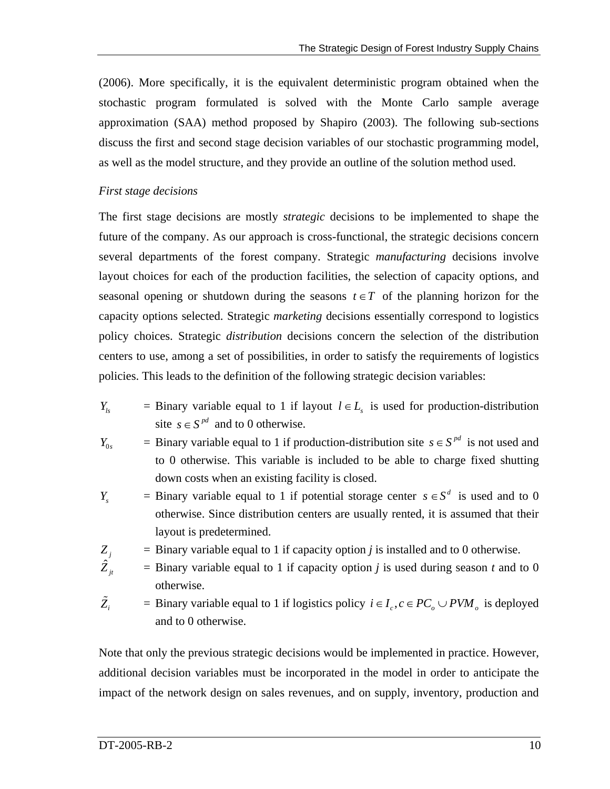(2006). More specifically, it is the equivalent deterministic program obtained when the stochastic program formulated is solved with the Monte Carlo sample average approximation (SAA) method proposed by Shapiro (2003). The following sub-sections discuss the first and second stage decision variables of our stochastic programming model, as well as the model structure, and they provide an outline of the solution method used.

#### *First stage decisions*

The first stage decisions are mostly *strategic* decisions to be implemented to shape the future of the company. As our approach is cross-functional, the strategic decisions concern several departments of the forest company. Strategic *manufacturing* decisions involve layout choices for each of the production facilities, the selection of capacity options, and seasonal opening or shutdown during the seasons  $t \in T$  of the planning horizon for the capacity options selected. Strategic *marketing* decisions essentially correspond to logistics policy choices. Strategic *distribution* decisions concern the selection of the distribution centers to use, among a set of possibilities, in order to satisfy the requirements of logistics policies. This leads to the definition of the following strategic decision variables:

- *Y<sub>ls</sub>* = Binary variable equal to 1 if layout  $l \in L$ <sub>s</sub> is used for production-distribution site  $s \in S^{pd}$  and to 0 otherwise.
- $Y_{0s}$  = Binary variable equal to 1 if production-distribution site  $s \in S^{pd}$  is not used and to 0 otherwise. This variable is included to be able to charge fixed shutting down costs when an existing facility is closed.
- *Y<sub>s</sub>* = Binary variable equal to 1 if potential storage center  $s \in S^d$  is used and to 0 otherwise. Since distribution centers are usually rented, it is assumed that their layout is predetermined.
- $Z_i$  = Binary variable equal to 1 if capacity option *j* is installed and to 0 otherwise.
- $\hat{Z}_{it}$  $\bar{z}$  = Binary variable equal to 1 if capacity option *j* is used during season *t* and to 0 otherwise.
- $\tilde{Z}_i$ = Binary variable equal to 1 if logistics policy  $i \in I_c$ ,  $c \in PC_o \cup PVM_o$  is deployed and to 0 otherwise.

Note that only the previous strategic decisions would be implemented in practice. However, additional decision variables must be incorporated in the model in order to anticipate the impact of the network design on sales revenues, and on supply, inventory, production and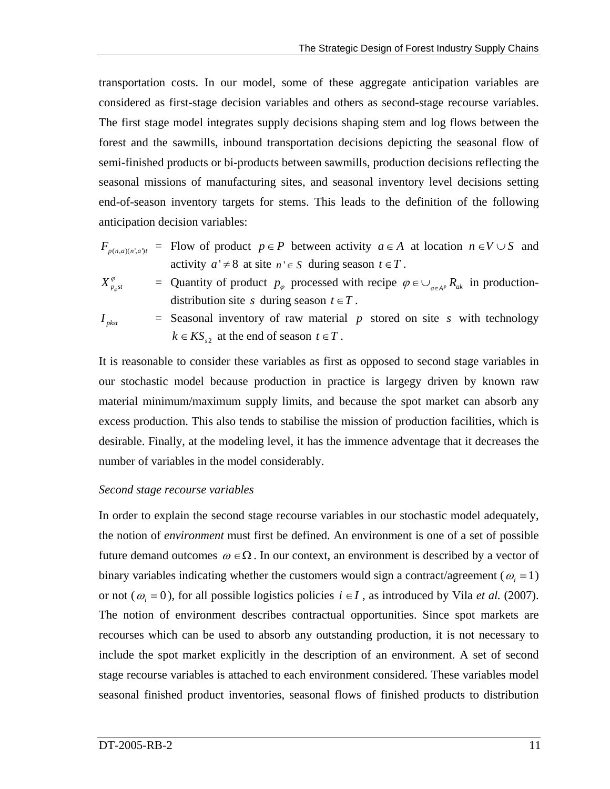transportation costs. In our model, some of these aggregate anticipation variables are considered as first-stage decision variables and others as second-stage recourse variables. The first stage model integrates supply decisions shaping stem and log flows between the forest and the sawmills, inbound transportation decisions depicting the seasonal flow of semi-finished products or bi-products between sawmills, production decisions reflecting the seasonal missions of manufacturing sites, and seasonal inventory level decisions setting end-of-season inventory targets for stems. This leads to the definition of the following anticipation decision variables:

$$
F_{p(n,a)(n',a')t}
$$
 = Flow of product  $p \in P$  between activity  $a \in A$  at location  $n \in V \cup S$  and activity  $a' \neq 8$  at site  $n' \in S$  during season  $t \in T$ .

$$
X_{p_{\varphi}st}^{\varphi} = \text{ Quantity of product } p_{\varphi} \text{ processed with recipe } \varphi \in \bigcup_{a \in A^p} R_{ak} \text{ in production-distribution site } s \text{ during season } t \in T.
$$

$$
I_{p k s t} =
$$
 **Seasonal inventory of raw material** *p* **stored on site** *s* **with technology** 
$$
k \in K S_{s2}
$$
 **at the end of season** 
$$
t \in T
$$
.

It is reasonable to consider these variables as first as opposed to second stage variables in our stochastic model because production in practice is largegy driven by known raw material minimum/maximum supply limits, and because the spot market can absorb any excess production. This also tends to stabilise the mission of production facilities, which is desirable. Finally, at the modeling level, it has the immence adventage that it decreases the number of variables in the model considerably.

#### *Second stage recourse variables*

In order to explain the second stage recourse variables in our stochastic model adequately, the notion of *environment* must first be defined. An environment is one of a set of possible future demand outcomes  $\omega \in \Omega$ . In our context, an environment is described by a vector of binary variables indicating whether the customers would sign a contract/agreement ( $\omega_i = 1$ ) or not ( $\omega_i = 0$ ), for all possible logistics policies  $i \in I$ , as introduced by Vila *et al.* (2007). The notion of environment describes contractual opportunities. Since spot markets are recourses which can be used to absorb any outstanding production, it is not necessary to include the spot market explicitly in the description of an environment. A set of second stage recourse variables is attached to each environment considered. These variables model seasonal finished product inventories, seasonal flows of finished products to distribution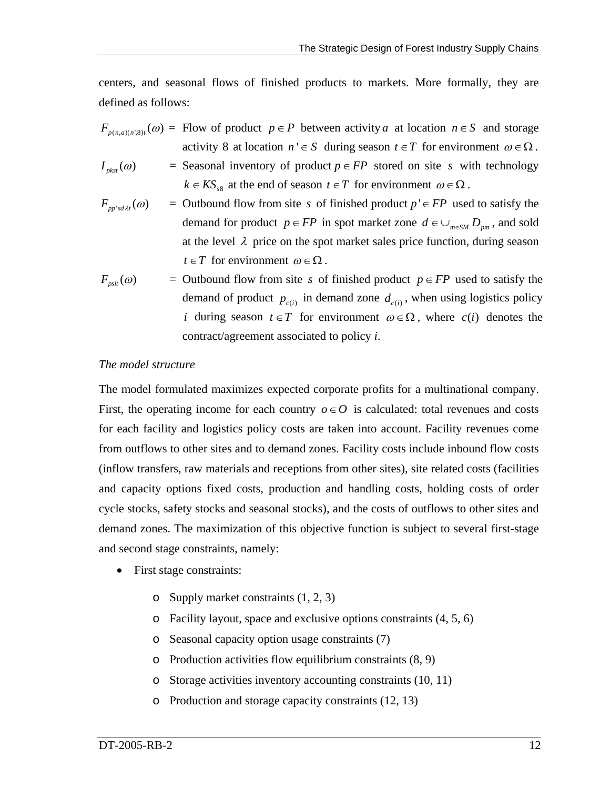centers, and seasonal flows of finished products to markets. More formally, they are defined as follows:

- $F_{p(n,a)(n^2,8)t}(\omega) =$  Flow of product  $p \in P$  between activity *a* at location  $n \in S$  and storage activity 8 at location  $n' \in S$  during season  $t \in T$  for environment  $\omega \in \Omega$ .
- $I_{\text{p,ksf}}(\omega)$  = Seasonal inventory of product  $p \in FP$  stored on site *s* with technology  $k \in KS_{\alpha}$  at the end of season  $t \in T$  for environment  $\omega \in \Omega$ .
- $F_{m'sd\lambda t}(\omega)$  $=$  Outbound flow from site *s* of finished product  $p' \in FP$  used to satisfy the demand for product  $p \in FP$  in spot market zone  $d \in \bigcup_{m \in SM} D_{pm}$ , and sold at the level  $\lambda$  price on the spot market sales price function, during season  $t \in T$  for environment  $\omega \in \Omega$ .

$$
F_{psit}(\omega) = \text{Outbound flow from site } s \text{ of finished product } p \in FP \text{ used to satisfy the demand of product } p_{c(i)}
$$
 in demand zone  $d_{c(i)}$ , when using logistics policy *i* during season  $t \in T$  for environment  $\omega \in \Omega$ , where  $c(i)$  denotes the contract/agreement associated to policy *i*.

#### *The model structure*

The model formulated maximizes expected corporate profits for a multinational company. First, the operating income for each country  $o \in O$  is calculated: total revenues and costs for each facility and logistics policy costs are taken into account. Facility revenues come from outflows to other sites and to demand zones. Facility costs include inbound flow costs (inflow transfers, raw materials and receptions from other sites), site related costs (facilities and capacity options fixed costs, production and handling costs, holding costs of order cycle stocks, safety stocks and seasonal stocks), and the costs of outflows to other sites and demand zones. The maximization of this objective function is subject to several first-stage and second stage constraints, namely:

- First stage constraints:
	- o Supply market constraints (1, 2, 3)
	- o Facility layout, space and exclusive options constraints (4, 5, 6)
	- o Seasonal capacity option usage constraints (7)
	- o Production activities flow equilibrium constraints (8, 9)
	- o Storage activities inventory accounting constraints (10, 11)
	- o Production and storage capacity constraints (12, 13)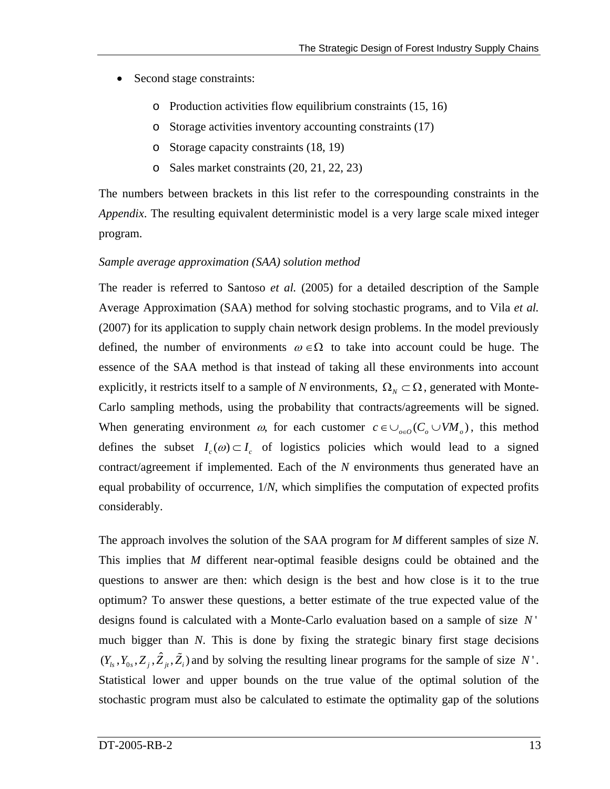- Second stage constraints:
	- o Production activities flow equilibrium constraints (15, 16)
	- o Storage activities inventory accounting constraints (17)
	- o Storage capacity constraints (18, 19)
	- o Sales market constraints (20, 21, 22, 23)

The numbers between brackets in this list refer to the correspounding constraints in the *Appendix*. The resulting equivalent deterministic model is a very large scale mixed integer program.

### *Sample average approximation (SAA) solution method*

The reader is referred to Santoso *et al.* (2005) for a detailed description of the Sample Average Approximation (SAA) method for solving stochastic programs, and to Vila *et al.* (2007) for its application to supply chain network design problems. In the model previously defined, the number of environments  $\omega \in \Omega$  to take into account could be huge. The essence of the SAA method is that instead of taking all these environments into account explicitly, it restricts itself to a sample of *N* environments,  $\Omega_N \subset \Omega$ , generated with Monte-When generating environment  $\omega$ , for each customer  $c \in \bigcup_{o \in O} (C_o \cup VM_o)$ , this method Carlo sampling methods, using the probability that contracts/agreements will be signed. defines the subset  $I_c(\omega) \subset I_c$  of logistics policies which would lead to a signed contract/agreement if implemented. Each of the *N* environments thus generated have an equal probability of occurrence, 1/*N*, which simplifies the computation of expected profits considerably.

The approach involves the solution of the SAA program for *M* different samples of size *N*. This implies that *M* different near-optimal feasible designs could be obtained and the questions to answer are then: which design is the best and how close is it to the true optimum? To answer these questions, a better estimate of the true expected value of the designs found is calculated with a Monte-Carlo evaluation based on a sample of size *N* ' much bigger than *N*. This is done by fixing the strategic binary first stage decisions  $(Y_{l_s}, Y_{0_s}, Z_j, \hat{Z}_j, \tilde{Z}_i)$  and by solving the resulting linear programs for the sample of size N'. Statistical lower and upper bounds on the true value of the optimal solution of the stochastic program must also be calculated to estimate the optimality gap of the solutions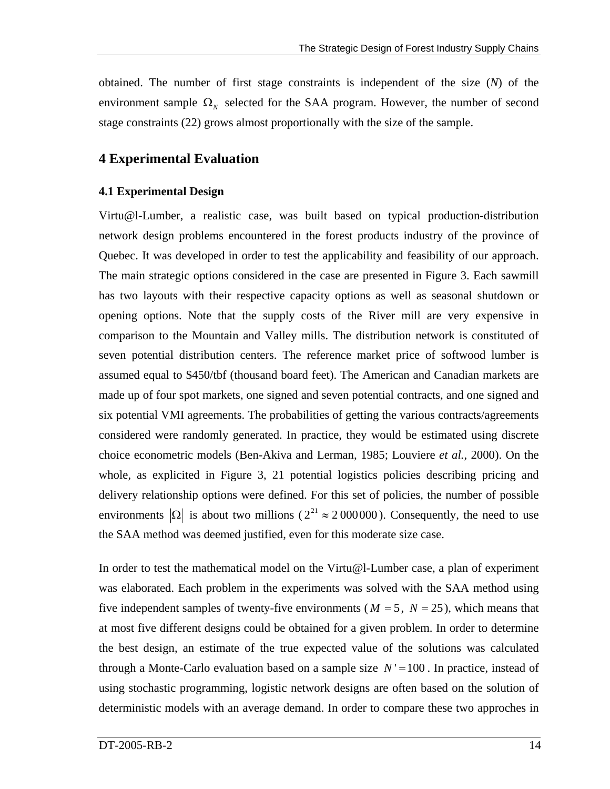obtained. The number of first stage constraints is independent of the size (*N*) of the environment sample  $\Omega_N$  selected for the SAA program. However, the number of second stage constraints (22) grows almost proportionally with the size of the sample.

## **4 Experimental Evaluation**

## **4.1 Experimental Design**

Virtu@l-Lumber, a realistic case, was built based on typical production-distribution network design problems encountered in the forest products industry of the province of Quebec. It was developed in order to test the applicability and feasibility of our approach. The main strategic options considered in the case are presented in [Figure 3](#page-14-0). Each sawmill has two layouts with their respective capacity options as well as seasonal shutdown or opening options. Note that the supply costs of the River mill are very expensive in comparison to the Mountain and Valley mills. The distribution network is constituted of seven potential distribution centers. The reference market price of softwood lumber is assumed equal to \$450/tbf (thousand board feet). The American and Canadian markets are made up of four spot markets, one signed and seven potential contracts, and one signed and six potential VMI agreements. The probabilities of getting the various contracts/agreements considered were randomly generated. In practice, they would be estimated using discrete choice econometric models (Ben-Akiva and Lerman, 1985; Louviere *et al.*, 2000). On the whole, as explicited in Figure 3, 21 potential logistics policies describing pricing and delivery relationship options were defined. For this set of policies, the number of possible environments  $|\Omega|$  is about two millions ( $2^{21} \approx 2000000$ ). Consequently, the need to use the SAA method was deemed justified, even for this moderate size case.

In order to test the mathematical model on the Virtu@l-Lumber case, a plan of experiment was elaborated. Each problem in the experiments was solved with the SAA method using five independent samples of twenty-five environments ( $M = 5$ ,  $N = 25$ ), which means that at most five different designs could be obtained for a given problem. In order to determine the best design, an estimate of the true expected value of the solutions was calculated through a Monte-Carlo evaluation based on a sample size  $N' = 100$ . In practice, instead of using stochastic programming, logistic network designs are often based on the solution of deterministic models with an average demand. In order to compare these two approches in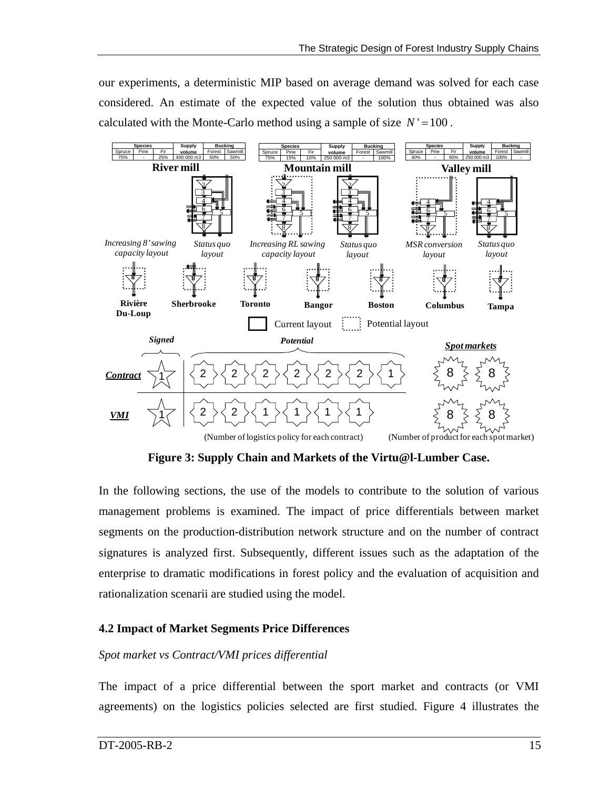our experiments, a deterministic MIP based on average demand was solved for each case considered. An estimate of the expected value of the solution thus obtained was also calculated with the Monte-Carlo method using a sample of size  $N' = 100$ .



**Figure 3: Supply Chain and Markets of the Virtu@l-Lumber Case.** 

<span id="page-14-0"></span>In the following sections, the use of the models to contribute to the solution of various management problems is examined. The impact of price differentials between market segments on the production-distribution network structure and on the number of contract signatures is analyzed first. Subsequently, different issues such as the adaptation of the enterprise to dramatic modifications in forest policy and the evaluation of acquisition and rationalization scenarii are studied using the model.

## **4.2 Impact of Market Segments Price Differences**

#### *Spot market vs Contract/VMI prices differential*

The impact of a price differential between the sport market and contracts (or VMI agreements) on the logistics policies selected are first studied. Figure 4 illustrates the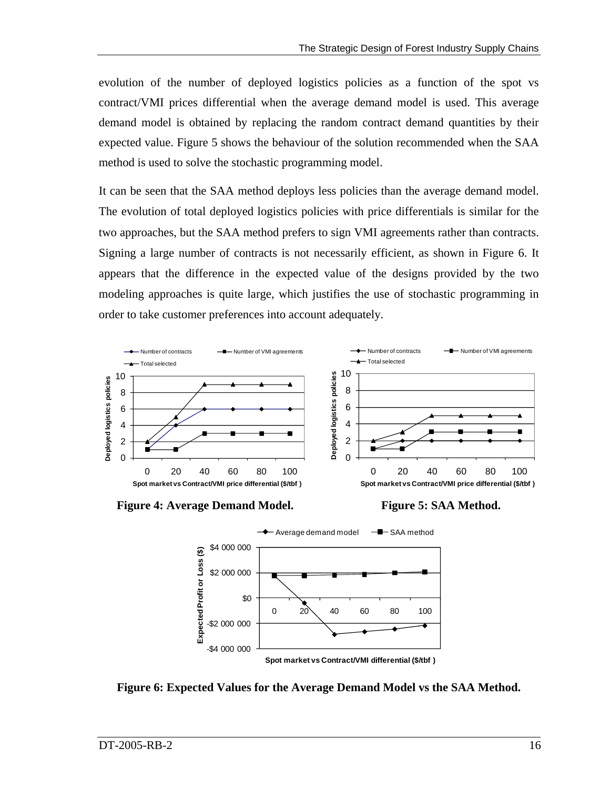evolution of the number of deployed logistics policies as a function of the spot vs contract/VMI prices differential when the average demand model is used. This average demand model is obtained by replacing the random contract demand quantities by their expected value. Figure 5 shows the behaviour of the solution recommended when the SAA method is used to solve the stochastic programming model.

It can be seen that the SAA method deploys less policies than the average demand model. The evolution of total deployed logistics policies with price differentials is similar for the two approaches, but the SAA method prefers to sign VMI agreements rather than contracts. Signing a large number of contracts is not necessarily efficient, as shown in [Figure 6](#page-15-0). It appears that the difference in the expected value of the designs provided by the two modeling approaches is quite large, which justifies the use of stochastic programming in order to take customer preferences into account adequately.



**Figure 4: Average Demand Model.** Figure 5: SAA Method.





<span id="page-15-0"></span>**Figure 6: Expected Values for the Average Demand Model vs the SAA Method.**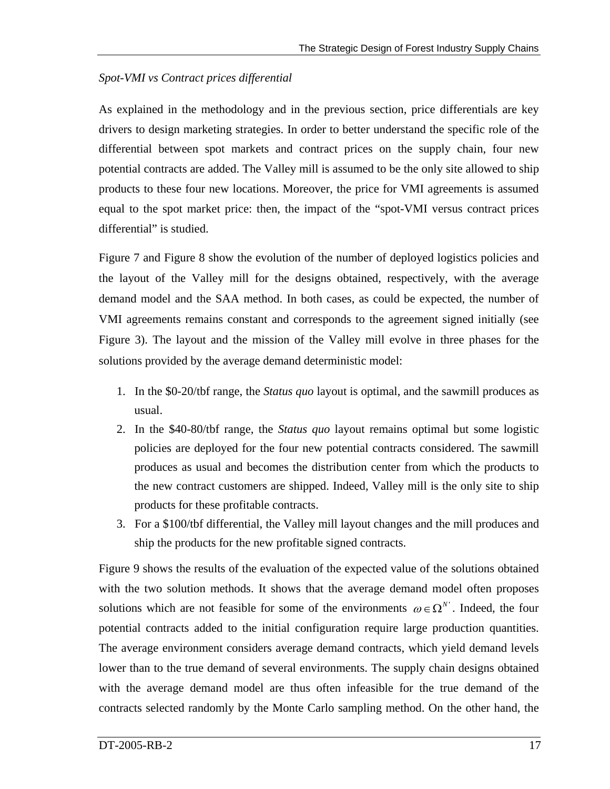## *Spot-VMI vs Contract prices differential*

As explained in the methodology and in the previous section, price differentials are key drivers to design marketing strategies. In order to better understand the specific role of the differential between spot markets and contract prices on the supply chain, four new potential contracts are added. The Valley mill is assumed to be the only site allowed to ship products to these four new locations. Moreover, the price for VMI agreements is assumed equal to the spot market price: then, the impact of the "spot-VMI versus contract prices differential" is studied.

Figure 7 and Figure 8 show the evolution of the number of deployed logistics policies and the layout of the Valley mill for the designs obtained, respectively, with the average demand model and the SAA method. In both cases, as could be expected, the number of VMI agreements remains constant and corresponds to the agreement signed initially (see [Figure 3](#page-14-0)). The layout and the mission of the Valley mill evolve in three phases for the solutions provided by the average demand deterministic model:

- 1. In the \$0-20/tbf range, the *Status quo* layout is optimal, and the sawmill produces as usual.
- 2. In the \$40-80/tbf range, the *Status quo* layout remains optimal but some logistic policies are deployed for the four new potential contracts considered. The sawmill produces as usual and becomes the distribution center from which the products to the new contract customers are shipped. Indeed, Valley mill is the only site to ship products for these profitable contracts.
- 3. For a \$100/tbf differential, the Valley mill layout changes and the mill produces and ship the products for the new profitable signed contracts.

Figure 9 shows the results of the evaluation of the expected value of the solutions obtained with the two solution methods. It shows that the average demand model often proposes solutions which are not feasible for some of the environments  $\omega \in \Omega^N$ . Indeed, the four potential contracts added to the initial configuration require large production quantities. The average environment considers average demand contracts, which yield demand levels lower than to the true demand of several environments. The supply chain designs obtained with the average demand model are thus often infeasible for the true demand of the contracts selected randomly by the Monte Carlo sampling method. On the other hand, the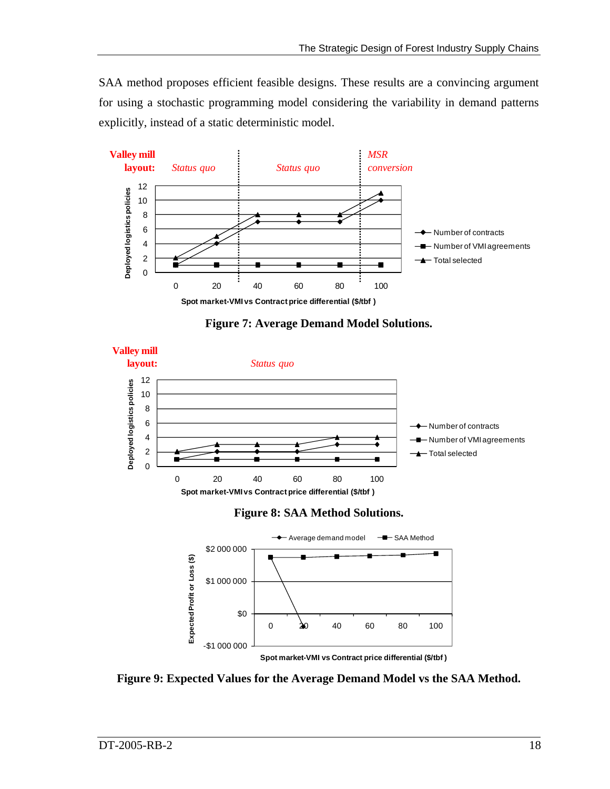SAA method proposes efficient feasible designs. These results are a convincing argument for using a stochastic programming model considering the variability in demand patterns explicitly, instead of a static deterministic model.



**Figure 7: Average Demand Model Solutions.** 







**Figure 9: Expected Values for the Average Demand Model vs the SAA Method.**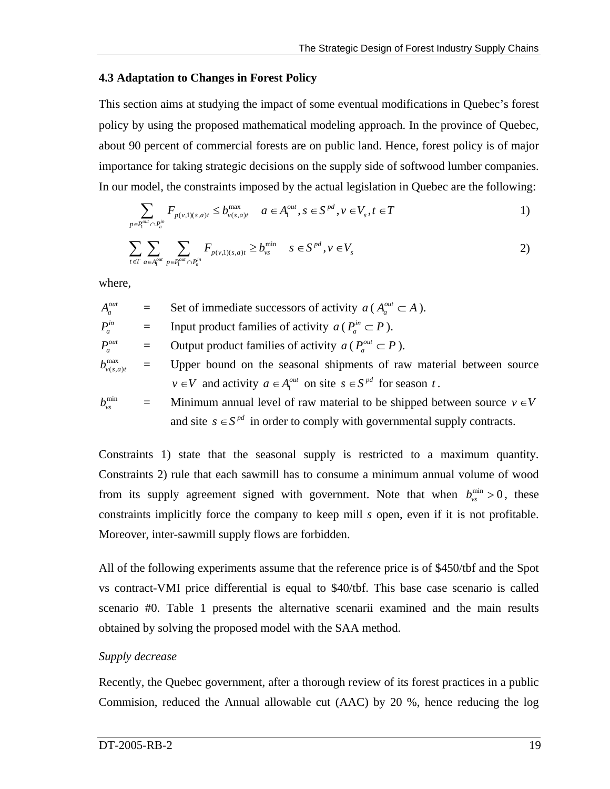#### **4.3 Adaptation to Changes in Forest Policy**

This section aims at studying the impact of some eventual modifications in Quebec's forest policy by using the proposed mathematical modeling approach. In the province of Quebec, about 90 percent of commercial forests are on public land. Hence, forest policy is of major importance for taking strategic decisions on the supply side of softwood lumber companies. In our model, the constraints imposed by the actual legislation in Quebec are the following:

$$
\sum_{p \in P_1^{out} \cap P_a^{in}} F_{p(v,1)(s,a)t} \le b_{v(s,a)t}^{\max} \quad a \in A_1^{out}, s \in S^{pd}, v \in V_s, t \in T
$$

$$
\sum_{t \in T} \sum_{a \in A_1^{out}} \sum_{p \in P_1^{out} \cap P_a^{in}} F_{p(v,1)(s,a)t} \ge b_{vs}^{min} \quad s \in S^{pd}, v \in V_s
$$

where,

 $A_a^{out}$  = Set of immediate successors of activity *a* ( $A_a^{out} \subset A$ ).

- $P_a^{in}$  = Input product families of activity *a* ( $P_a^{in} \subset P$ ).
- $P_a^{out}$  = Output product families of activity  $a ( P_a^{out} \subset P )$ .
- $b_{v(s,a)t}^{\max}$ = Upper bound on the seasonal shipments of raw material between source *v*∈*V* and activity  $a \in A_1^{out}$  on site  $s \in S^{pd}$  for season *t*.

$$
b_{\nu s}^{\min} = \text{Minimum annual level of raw material to be shipped between source } \nu \in V
$$
  
and site  $s \in S^{pd}$  in order to comply with governmental supply contracts.

Constraints 1) state that the seasonal supply is restricted to a maximum quantity. Constraints 2) rule that each sawmill has to consume a minimum annual volume of wood from its supply agreement signed with government. Note that when  $b_{\nu s}^{\min} > 0$ , these constraints implicitly force the company to keep mill *s* open, even if it is not profitable. Moreover, inter-sawmill supply flows are forbidden.

All of the following experiments assume that the reference price is of \$450/tbf and the Spot vs contract-VMI price differential is equal to \$40/tbf. This base case scenario is called scenario #0. Table 1 presents the alternative scenarii examined and the main results obtained by solving the proposed model with the SAA method.

#### *Supply decrease*

Recently, the Quebec government, after a thorough review of its forest practices in a public Commision, reduced the Annual allowable cut (AAC) by 20 %, hence reducing the log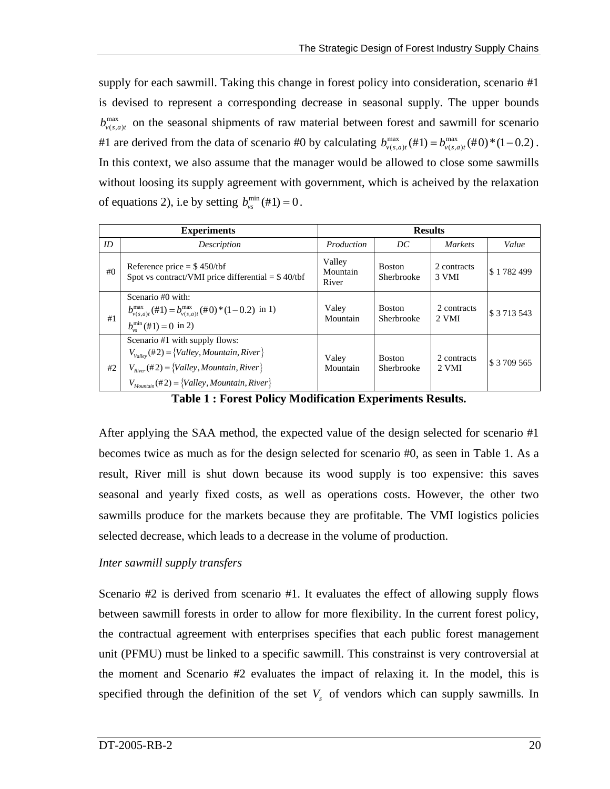supply for each sawmill. Taking this change in forest policy into consideration, scenario #1 is devised to represent a corresponding decrease in seasonal supply. The upper bounds  $b_{v(s,a)t}^{\text{max}}$  on the seasonal shipments of raw material between forest and sawmill for scenario #1 are derived from the data of scenario #0 by calculating  $b_{\nu(s,a)t}^{\max}(\text{#1}) = b_{\nu(s,a)t}^{\max}(\text{#0}) \cdot (1-0.2)$ . In this context, we also assume that the manager would be allowed to close some sawmills without loosing its supply agreement with government, which is acheived by the relaxation of equations 2), i.e by setting  $b_{vs}^{min}(#1) = 0$ .

|     | <b>Experiments</b>                                                                                                                                                                                  | <b>Results</b>              |                             |                      |                  |
|-----|-----------------------------------------------------------------------------------------------------------------------------------------------------------------------------------------------------|-----------------------------|-----------------------------|----------------------|------------------|
| ID  | Description                                                                                                                                                                                         | Production                  | DC                          | <i>Markets</i>       | Value            |
| #() | Reference price $=$ \$450/tbf<br>Spot vs contract/VMI price differential $=$ \$40/tbf                                                                                                               | Valley<br>Mountain<br>River | <b>Boston</b><br>Sherbrooke | 2 contracts<br>3 VMI | \$1782499        |
| #1  | Scenario #0 with:<br>$b_{v(s,a)t}^{\text{max}}(\#1) = b_{v(s,a)t}^{\text{max}}(\#0) * (1-0.2)$ in 1)<br>$b_{\rm ws}^{\rm min}(\#1) = 0$ in 2)                                                       | Valey<br>Mountain           | <b>Boston</b><br>Sherbrooke | 2 contracts<br>2 VMI | \$ 3 7 1 3 5 4 3 |
| #2  | Scenario #1 with supply flows:<br>$V_{\text{Value}}$ (#2) = {Valley, Mountain, River}<br>$V_{River}(\#2) = \{Valuey, Mountain, River\}$<br>$V_{Mountain}(\text{\#2}) = \{Valley, Mountain, River\}$ | Valey<br>Mountain           | <b>Boston</b><br>Sherbrooke | 2 contracts<br>2 VMI | \$ 3 709 565     |

**Table 1 : Forest Policy Modification Experiments Results.** 

After applying the SAA method, the expected value of the design selected for scenario #1 becomes twice as much as for the design selected for scenario #0, as seen in Table 1. As a result, River mill is shut down because its wood supply is too expensive: this saves seasonal and yearly fixed costs, as well as operations costs. However, the other two sawmills produce for the markets because they are profitable. The VMI logistics policies selected decrease, which leads to a decrease in the volume of production.

#### *Inter sawmill supply transfers*

Scenario #2 is derived from scenario #1. It evaluates the effect of allowing supply flows between sawmill forests in order to allow for more flexibility. In the current forest policy, the contractual agreement with enterprises specifies that each public forest management unit (PFMU) must be linked to a specific sawmill. This constrainst is very controversial at the moment and Scenario #2 evaluates the impact of relaxing it. In the model, this is specified through the definition of the set  $V<sub>s</sub>$  of vendors which can supply sawmills. In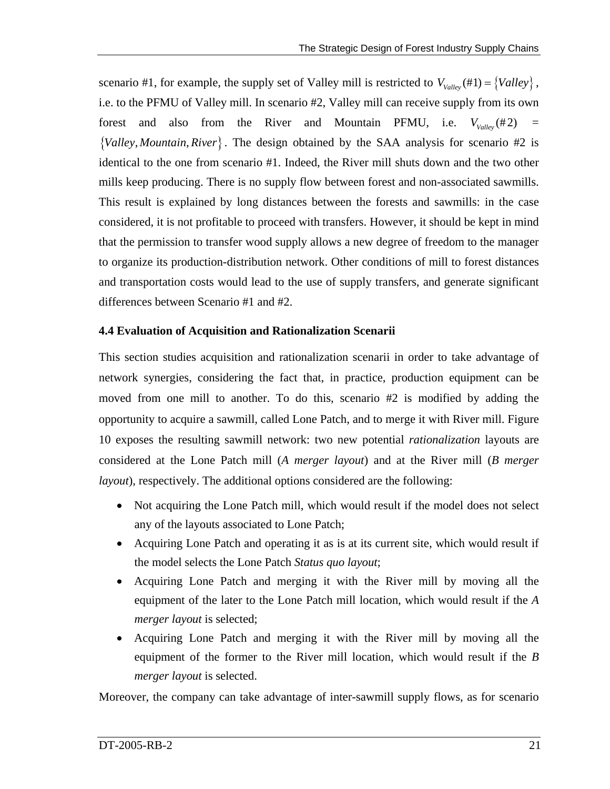scenario #1, for example, the supply set of Valley mill is restricted to  $V_{\text{valley}}(\#1) = \{Value\}$ , forest and also from the River and Mountain PFMU, i.e.  $V_{\text{valley}}(\#2)$  = i.e. to the PFMU of Valley mill. In scenario #2, Valley mill can receive supply from its own  ${Valley, Mountain, River}$ . The design obtained by the SAA analysis for scenario #2 is identical to the one from scenario #1. Indeed, the River mill shuts down and the two other mills keep producing. There is no supply flow between forest and non-associated sawmills. This result is explained by long distances between the forests and sawmills: in the case considered, it is not profitable to proceed with transfers. However, it should be kept in mind that the permission to transfer wood supply allows a new degree of freedom to the manager to organize its production-distribution network. Other conditions of mill to forest distances and transportation costs would lead to the use of supply transfers, and generate significant differences between Scenario #1 and #2.

#### **4.4 Evaluation of Acquisition and Rationalization Scenarii**

This section studies acquisition and rationalization scenarii in order to take advantage of network synergies, considering the fact that, in practice, production equipment can be moved from one mill to another. To do this, scenario #2 is modified by adding the opportunity to acquire a sawmill, called Lone Patch, and to merge it with River mill. Figure 10 exposes the resulting sawmill network: two new potential *rationalization* layouts are considered at the Lone Patch mill (*A merger layout*) and at the River mill (*B merger layout*), respectively. The additional options considered are the following:

- Not acquiring the Lone Patch mill, which would result if the model does not select any of the layouts associated to Lone Patch;
- Acquiring Lone Patch and operating it as is at its current site, which would result if the model selects the Lone Patch *Status quo layout*;
- Acquiring Lone Patch and merging it with the River mill by moving all the equipment of the later to the Lone Patch mill location, which would result if the *A merger layout* is selected;
- Acquiring Lone Patch and merging it with the River mill by moving all the equipment of the former to the River mill location, which would result if the *B merger layout* is selected.

Moreover, the company can take advantage of inter-sawmill supply flows, as for scenario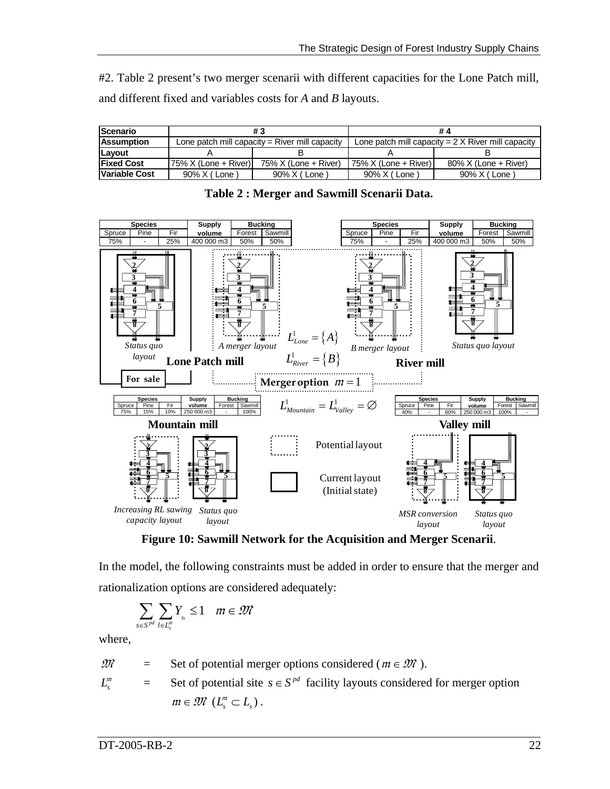#2. Table 2 present's two merger scenarii with different capacities for the Lone Patch mill, and different fixed and variables costs for *A* and *B* layouts.

| <b>Scenario</b>    |                                                  |                         | # 4                                                       |                         |  |
|--------------------|--------------------------------------------------|-------------------------|-----------------------------------------------------------|-------------------------|--|
| <b>Assumption</b>  | Lone patch mill capacity $=$ River mill capacity |                         | Lone patch mill capacity = $2 \times$ River mill capacity |                         |  |
| <b>ILavout</b>     |                                                  |                         |                                                           |                         |  |
| <b>IFixed Cost</b> | $75\%$ X (Lone + River)                          | $75\%$ X (Lone + River) | 75% X (Lone + River)                                      | $80\%$ X (Lone + River) |  |
| Variable Cost      | 90% X (Lone)                                     | 90% X (Lone)            | 90% X (Lone)                                              | 90% X (Lone)            |  |



**Table 2 : Merger and Sawmill Scenarii Data.** 

**Figure 10: Sawmill Network for the Acquisition and Merger Scenarii**.

In the model, the following constraints must be added in order to ensure that the merger and rationalization options are considered adequately:

$$
\sum_{s\in S^{pd}}\sum_{l\in L_s^m}Y_{_{ls}}\leq 1\quad m\in\mathcal{M}
$$

where,

$$
\mathfrak{M} = \text{Set of potential merger options considered } (m \in \mathfrak{M}).
$$

$$
L_s^m = \text{Set of potential site } s \in S^{pd} \text{ facility layouts considered for merger option}
$$
  

$$
m \in \mathcal{M} \ (L_s^m \subset L_s).
$$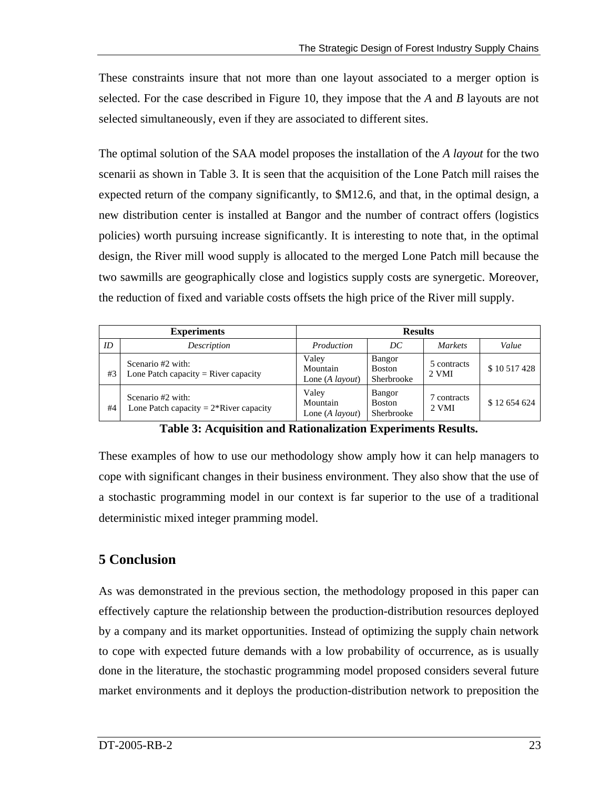These constraints insure that not more than one layout associated to a merger option is selected. For the case described in Figure 10, they impose that the *A* and *B* layouts are not selected simultaneously, even if they are associated to different sites.

The optimal solution of the SAA model proposes the installation of the *A layout* for the two scenarii as shown in Table 3. It is seen that the acquisition of the Lone Patch mill raises the expected return of the company significantly, to \$M12.6, and that, in the optimal design, a new distribution center is installed at Bangor and the number of contract offers (logistics policies) worth pursuing increase significantly. It is interesting to note that, in the optimal design, the River mill wood supply is allocated to the merged Lone Patch mill because the two sawmills are geographically close and logistics supply costs are synergetic. Moreover, the reduction of fixed and variable costs offsets the high price of the River mill supply.

|    | <b>Experiments</b>                                             | <b>Results</b>                               |                                       |                      |            |
|----|----------------------------------------------------------------|----------------------------------------------|---------------------------------------|----------------------|------------|
| ID | Description                                                    | Production                                   | DС                                    | <b>Markets</b>       | Value      |
| #3 | Scenario #2 with:<br>Lone Patch capacity $=$ River capacity    | Valey<br>Mountain<br>Lone (A <i>layout</i> ) | Bangor<br><b>Boston</b><br>Sherbrooke | 5 contracts<br>2 VMI | \$10517428 |
| #4 | Scenario #2 with:<br>Lone Patch capacity = $2*$ River capacity | Valey<br>Mountain<br>Lone (A <i>layout</i> ) | Bangor<br><b>Boston</b><br>Sherbrooke | contracts<br>2 VMI   | \$12654624 |

**Table 3: Acquisition and Rationalization Experiments Results.** 

These examples of how to use our methodology show amply how it can help managers to cope with significant changes in their business environment. They also show that the use of a stochastic programming model in our context is far superior to the use of a traditional deterministic mixed integer pramming model.

# **5 Conclusion**

As was demonstrated in the previous section, the methodology proposed in this paper can effectively capture the relationship between the production-distribution resources deployed by a company and its market opportunities. Instead of optimizing the supply chain network to cope with expected future demands with a low probability of occurrence, as is usually done in the literature, the stochastic programming model proposed considers several future market environments and it deploys the production-distribution network to preposition the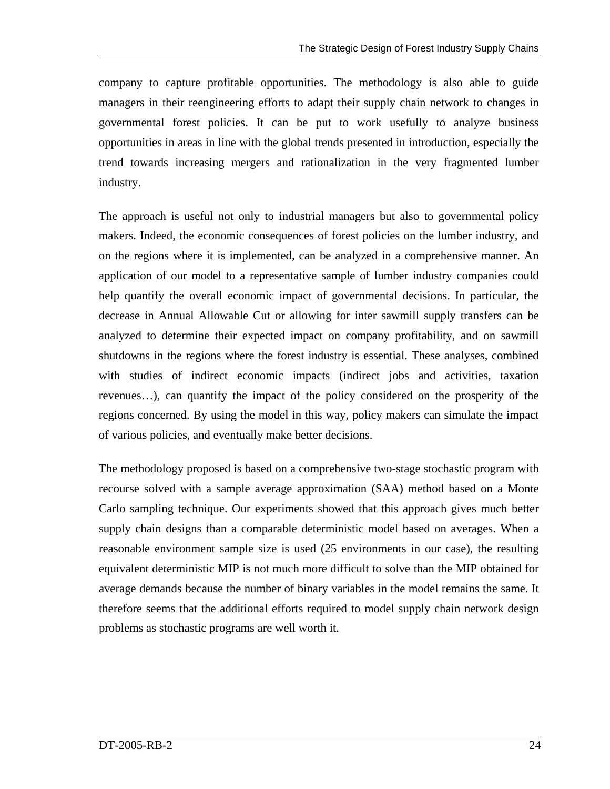company to capture profitable opportunities. The methodology is also able to guide managers in their reengineering efforts to adapt their supply chain network to changes in governmental forest policies. It can be put to work usefully to analyze business opportunities in areas in line with the global trends presented in introduction, especially the trend towards increasing mergers and rationalization in the very fragmented lumber industry.

The approach is useful not only to industrial managers but also to governmental policy makers. Indeed, the economic consequences of forest policies on the lumber industry, and on the regions where it is implemented, can be analyzed in a comprehensive manner. An application of our model to a representative sample of lumber industry companies could help quantify the overall economic impact of governmental decisions. In particular, the decrease in Annual Allowable Cut or allowing for inter sawmill supply transfers can be analyzed to determine their expected impact on company profitability, and on sawmill shutdowns in the regions where the forest industry is essential. These analyses, combined with studies of indirect economic impacts (indirect jobs and activities, taxation revenues…), can quantify the impact of the policy considered on the prosperity of the regions concerned. By using the model in this way, policy makers can simulate the impact of various policies, and eventually make better decisions.

The methodology proposed is based on a comprehensive two-stage stochastic program with recourse solved with a sample average approximation (SAA) method based on a Monte Carlo sampling technique. Our experiments showed that this approach gives much better supply chain designs than a comparable deterministic model based on averages. When a reasonable environment sample size is used (25 environments in our case), the resulting equivalent deterministic MIP is not much more difficult to solve than the MIP obtained for average demands because the number of binary variables in the model remains the same. It therefore seems that the additional efforts required to model supply chain network design problems as stochastic programs are well worth it.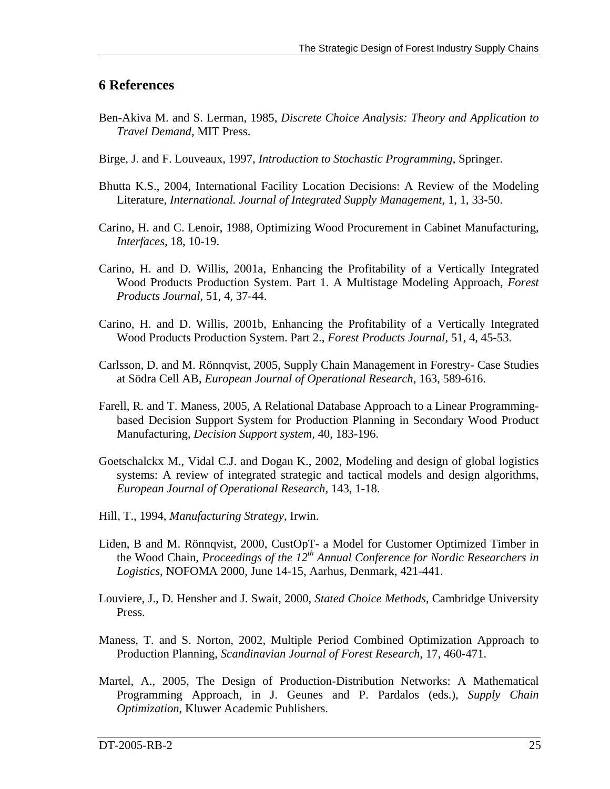## **6 References**

- Ben-Akiva M. and S. Lerman, 1985, *Discrete Choice Analysis: Theory and Application to Travel Demand*, MIT Press.
- Birge, J. and F. Louveaux, 1997, *Introduction to Stochastic Programming*, Springer.
- Bhutta K.S., 2004, International Facility Location Decisions: A Review of the Modeling Literature, *International. Journal of Integrated Supply Management*, 1, 1, 33-50.
- Carino, H. and C. Lenoir, 1988, Optimizing Wood Procurement in Cabinet Manufacturing, *Interfaces,* 18, 10-19.
- Carino, H. and D. Willis, 2001a, Enhancing the Profitability of a Vertically Integrated Wood Products Production System. Part 1. A Multistage Modeling Approach, *Forest Products Journal,* 51, 4, 37-44.
- Carino, H. and D. Willis, 2001b, Enhancing the Profitability of a Vertically Integrated Wood Products Production System. Part 2., *Forest Products Journal,* 51, 4, 45-53.
- Carlsson, D. and M. Rönnqvist, 2005, Supply Chain Management in Forestry- Case Studies at Södra Cell AB, *European Journal of Operational Research,* 163, 589-616.
- Farell, R. and T. Maness, 2005, A Relational Database Approach to a Linear Programmingbased Decision Support System for Production Planning in Secondary Wood Product Manufacturing, *Decision Support system,* 40, 183-196.
- Goetschalckx M., Vidal C.J. and Dogan K., 2002, Modeling and design of global logistics systems: A review of integrated strategic and tactical models and design algorithms, *European Journal of Operational Research,* 143, 1-18.
- Hill, T., 1994, *Manufacturing Strategy*, Irwin.
- Liden, B and M. Rönnqvist, 2000, CustOpT- a Model for Customer Optimized Timber in the Wood Chain, *Proceedings of the 12th Annual Conference for Nordic Researchers in Logistics*, NOFOMA 2000, June 14-15, Aarhus, Denmark, 421-441.
- Louviere, J., D. Hensher and J. Swait, 2000, *Stated Choice Methods*, Cambridge University Press.
- Maness, T. and S. Norton, 2002, Multiple Period Combined Optimization Approach to Production Planning, *Scandinavian Journal of Forest Research,* 17, 460-471.
- Martel, A., 2005, The Design of Production-Distribution Networks: A Mathematical Programming Approach, in J. Geunes and P. Pardalos (eds.), *Supply Chain Optimization*, Kluwer Academic Publishers.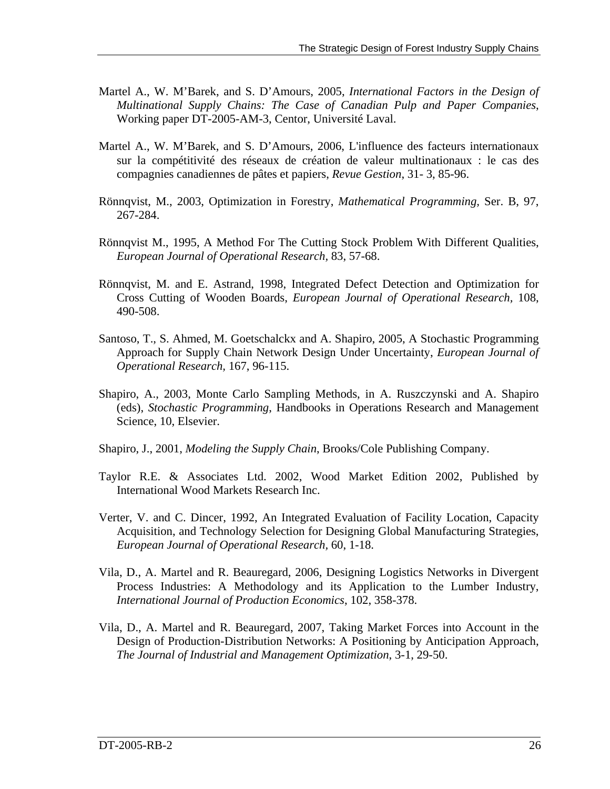- Martel A., W. M'Barek, and S. D'Amours, 2005, *International Factors in the Design of Multinational Supply Chains: The Case of Canadian Pulp and Paper Companies*, Working paper DT-2005-AM-3, Centor, Université Laval.
- Martel A., W. M'Barek, and S. D'Amours, 2006, L'influence des facteurs internationaux sur la compétitivité des réseaux de création de valeur multinationaux : le cas des compagnies canadiennes de pâtes et papiers, *Revue Gestion*, 31- 3, 85-96.
- Rönnqvist, M., 2003, Optimization in Forestry, *Mathematical Programming,* Ser. B, 97, 267-284.
- Rönnqvist M., 1995, A Method For The Cutting Stock Problem With Different Qualities, *European Journal of Operational Research,* 83, 57-68.
- Rönnqvist, M. and E. Astrand, 1998, Integrated Defect Detection and Optimization for Cross Cutting of Wooden Boards, *European Journal of Operational Research,* 108, 490-508.
- Santoso, T., S. Ahmed, M. Goetschalckx and A. Shapiro, 2005, A Stochastic Programming Approach for Supply Chain Network Design Under Uncertainty, *European Journal of Operational Research,* 167, 96-115.
- Shapiro, A., 2003, Monte Carlo Sampling Methods, in A. Ruszczynski and A. Shapiro (eds), *Stochastic Programming*, Handbooks in Operations Research and Management Science, 10, Elsevier.
- Shapiro, J., 2001, *Modeling the Supply Chain*, Brooks/Cole Publishing Company.
- Taylor R.E. & Associates Ltd. 2002, Wood Market Edition 2002, Published by International Wood Markets Research Inc.
- Verter, V. and C. Dincer, 1992, An Integrated Evaluation of Facility Location, Capacity Acquisition, and Technology Selection for Designing Global Manufacturing Strategies, *European Journal of Operational Research,* 60, 1-18.
- Vila, D., A. Martel and R. Beauregard, 2006, Designing Logistics Networks in Divergent Process Industries: A Methodology and its Application to the Lumber Industry, *International Journal of Production Economics*, 102, 358-378.
- Vila, D., A. Martel and R. Beauregard, 2007, Taking Market Forces into Account in the Design of Production-Distribution Networks: A Positioning by Anticipation Approach, *The Journal of Industrial and Management Optimization*, 3-1, 29-50.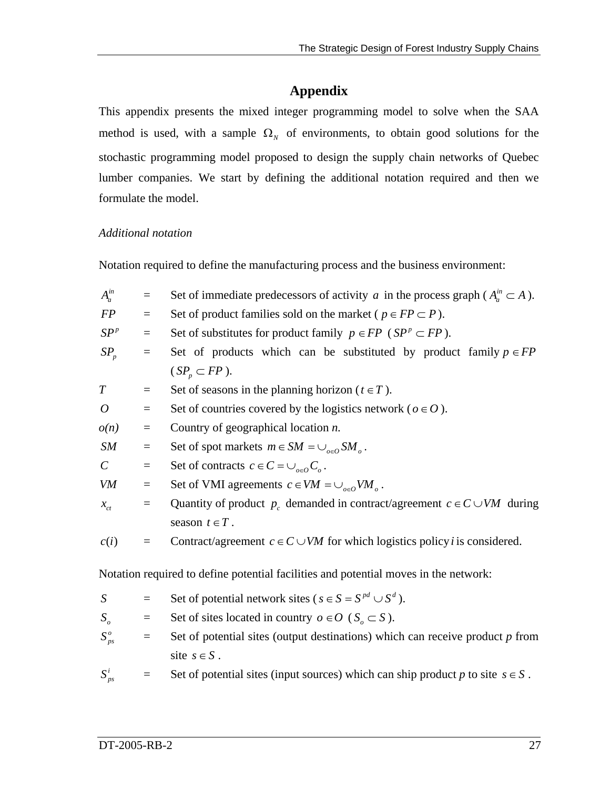# **Appendix**

This appendix presents the mixed integer programming model to solve when the SAA method is used, with a sample  $\Omega_N$  of environments, to obtain good solutions for the stochastic programming model proposed to design the supply chain networks of Quebec lumber companies. We start by defining the additional notation required and then we formulate the model.

### *Additional notation*

Notation required to define the manufacturing process and the business environment:

| $A_a^{in}$                  | $\equiv$                                                                          | Set of immediate predecessors of activity a in the process graph ( $A_a^m \subset A$ ). |  |  |  |  |
|-----------------------------|-----------------------------------------------------------------------------------|-----------------------------------------------------------------------------------------|--|--|--|--|
| FP                          | $\equiv$                                                                          | Set of product families sold on the market ( $p \in FP \subset P$ ).                    |  |  |  |  |
| SP <sup>p</sup>             | $\equiv$                                                                          | Set of substitutes for product family $p \in FP$ (SP <sup>p</sup> $\subset FP$ ).       |  |  |  |  |
| $SP_p$                      | Set of products which can be substituted by product family $p \in FP$<br>$\equiv$ |                                                                                         |  |  |  |  |
|                             |                                                                                   | $(SP_n \subset FP)$ .                                                                   |  |  |  |  |
| $\, T \,$                   | $\equiv$                                                                          | Set of seasons in the planning horizon ( $t \in T$ ).                                   |  |  |  |  |
| $\boldsymbol{O}$            | $\equiv$                                                                          | Set of countries covered by the logistics network ( $o \in O$ ).                        |  |  |  |  |
| o(n)                        | $\equiv$                                                                          | Country of geographical location $n$ .                                                  |  |  |  |  |
| SM                          | $\equiv$                                                                          | Set of spot markets $m \in SM = \bigcup_{o \in O} SM_o$ .                               |  |  |  |  |
| $\mathcal{C}_{\mathcal{C}}$ | $\equiv$                                                                          | Set of contracts $c \in C = \bigcup_{o \in O} C_o$ .                                    |  |  |  |  |
| VM                          | $\equiv$                                                                          | Set of VMI agreements $c \in VM = \bigcup_{o \in O} VM_o$ .                             |  |  |  |  |
| $x_{ct}$                    | $\equiv$                                                                          | Quantity of product $p_c$ demanded in contract/agreement $c \in C \cup VM$ during       |  |  |  |  |
|                             |                                                                                   | season $t \in T$ .                                                                      |  |  |  |  |
| c(i)                        | $\equiv$                                                                          | Contract/agreement $c \in C \cup VM$ for which logistics policy <i>i</i> is considered. |  |  |  |  |
|                             |                                                                                   |                                                                                         |  |  |  |  |
|                             |                                                                                   | Notation required to define potential facilities and potential moves in the network:    |  |  |  |  |
| $\boldsymbol{S}$            | $\equiv$                                                                          | Set of potential network sites ( $s \in S = S^{pd} \cup S^d$ ).                         |  |  |  |  |
| $S_{\scriptscriptstyle O}$  | $\equiv$                                                                          | Set of sites located in country $o \in O$ ( $S_o \subset S$ ).                          |  |  |  |  |
| $S_{ps}^o$                  | $\equiv$                                                                          | Set of potential sites (output destinations) which can receive product $p$ from         |  |  |  |  |
|                             |                                                                                   | site $s \in S$ .                                                                        |  |  |  |  |

 $S_{ps}^i$ *psilong space Set of potential sites (input sources) which can ship product <i>p* to site  $s \in S$ .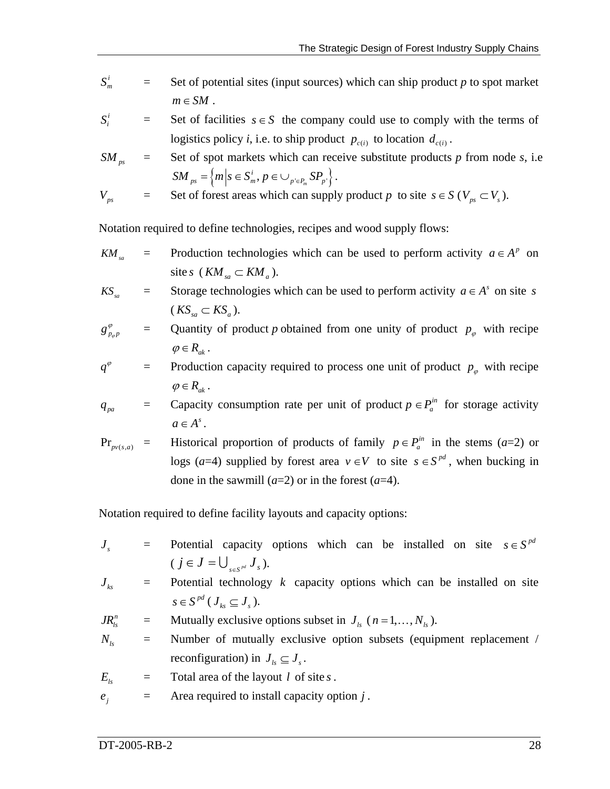- $S_m^i$ *<sup>m</sup> S* = Set of potential sites (input sources) which can ship product *p* to spot market  $m \in SM$ .
- $S_i^i$  $\leq$  Set of facilities  $s \in S$  the company could use to comply with the terms of logistics policy *i*, i.e. to ship product  $p_{c(i)}$  to location  $d_{c(i)}$ .

$$
SM_{ps} = \text{Set of spot markets which can receive substitute products } p \text{ from node } s, \text{ i.e.}
$$
\n
$$
SM_{ps} = \left\{ m \middle| s \in S_m^i, p \in \bigcup_{p' \in P_m} SP_p \right\}.
$$

$$
V_{ps} = \text{Set of forest areas which can supply product } p \text{ to site } s \in S \text{ } (V_{ps} \subset V_s).
$$

Notation required to define technologies, recipes and wood supply flows:

*KM<sub>sa</sub>* = Production technologies which can be used to perform activity  $a \in A^p$  on site *s* ( $KM_{sa} \subset KM_a$ ).

$$
KS_{sa} = \text{Storage technologies which can be used to perform activity } a \in A^s \text{ on site } s
$$
  

$$
(KS_{sa} \subset KS_a).
$$

$$
g_{p_{\varphi}p}^{\varphi}
$$
 = Quantity of product *p* obtained from one unity of product  $p_{\varphi}$  with recipe  $\varphi \in R_{ak}$ .

$$
q^{\varphi} = \text{Production capacity required to process one unit of product } p_{\varphi} \text{ with recipe}
$$
\n
$$
\varphi \in R_{ak}.
$$

$$
q_{pa} = \text{Capacity consumption rate per unit of product } p \in P_a^{\text{in}} \text{ for storage activity } a \in A^s.
$$

 $\Pr_{pv(s,a)}$  = *pv*(s,a) = Historical proportion of products of family  $p \in P_a^{in}$  in the stems (*a*=2) or logs (*a*=4) supplied by forest area  $v \in V$  to site  $s \in S^{pd}$ , when bucking in done in the sawmill  $(a=2)$  or in the forest  $(a=4)$ .

Notation required to define facility layouts and capacity options:

 $J<sub>s</sub>$  = Potential capacity options which can be installed on site  $s \in S<sup>pd</sup>$  $(j \in J = \bigcup_{s \in S^{pd}} J_s)$ .

$$
J_{ks} = \text{Potential technology } k \text{ capacity options which can be installed on site}
$$
  

$$
s \in S^{pd} (J_{ks} \subseteq J_s).
$$

$$
JR_{ls}^{n} =
$$
 Mutually exclusive options subset in  $J_{ls}$  ( $n = 1,..., N_{ls}$ ).

- $N_{ls}$  = Number of mutually exclusive option subsets (equipment replacement / reconfiguration) in  $J_k \subseteq J_s$ .
- $E_{l_s}$  = Total area of the layout *l* of site *s*.
- $e_i$  = Area required to install capacity option *j*.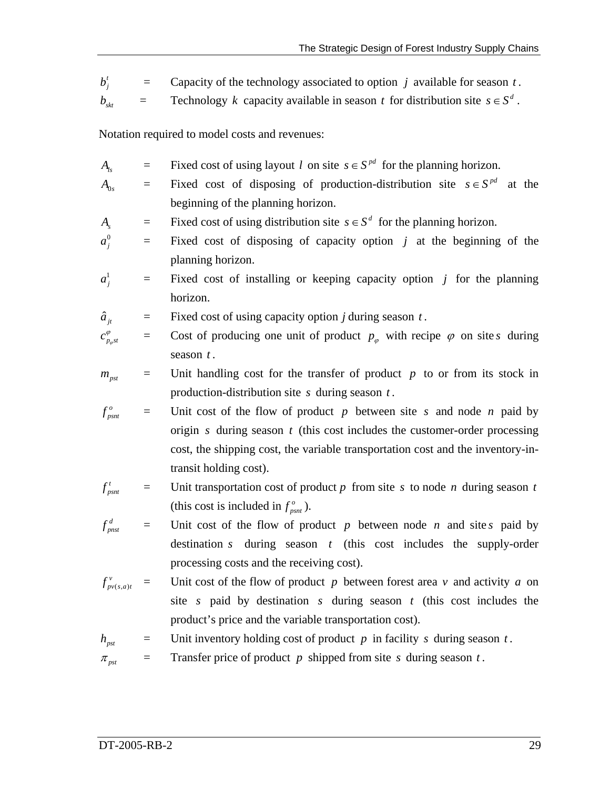$b_i^t$  $=$  Capacity of the technology associated to option *j* available for season *t*.

 $b_{\rm str}$  = Technology *k* capacity available in season *t* for distribution site  $s \in S^d$ .

Notation required to model costs and revenues:

- *A<sub>ls</sub>* = Fixed cost of using layout *l* on site  $s \in S^{pd}$  for the planning horizon.
- $A_{0s}$  = Fixed cost of disposing of production-distribution site  $s \in S^{pd}$  at the beginning of the planning horizon.
- *A<sub>s</sub>* = Fixed cost of using distribution site  $s \in S^d$  for the planning horizon.
- $a_i^0$  $=$  Fixed cost of disposing of capacity option *j* at the beginning of the planning horizon.
- $a_i^1$  $=$  Fixed cost of installing or keeping capacity option *j* for the planning horizon.

 $\hat{a}_{it}$  = Fixed cost of using capacity option *j* during season *t*.

$$
c_{p_{\varphi}st}^{\varphi} = \text{Cost of producing one unit of product } p_{\varphi} \text{ with recipe } \varphi \text{ on site } s \text{ during season } t.
$$

$$
m_{\text{pst}} = \text{Unit handling cost for the transfer of product } p \text{ to or from its stock in production-distribution site } s \text{ during season } t.
$$

 $f_{psnt}^o$  $f_{p_{snt}}^o$  = Unit cost of the flow of product *p* between site *s* and node *n* paid by origin  $s$  during season  $t$  (this cost includes the customer-order processing cost, the shipping cost, the variable transportation cost and the inventory-intransit holding cost).

$$
f_{psnt}^t = \text{Unit transportation cost of product } p \text{ from site } s \text{ to node } n \text{ during season } t
$$
\n(this cost is included in  $f_{psnt}^o$ ).

 $f_{\textit{pnst}}^d$  $f_{pnst}^d$  = Unit cost of the flow of product p between node n and site s paid by destination  $s$  during season  $t$  (this cost includes the supply-order processing costs and the receiving cost).

 $(s,a)$ *v*  $f_{pv(s,a)t}^{v}$  = Unit cost of the flow of product p between forest area v and activity a on site *s* paid by destination *s* during season  $t$  (this cost includes the product's price and the variable transportation cost).

 $h_{\text{post}}$  = Unit inventory holding cost of product *p* in facility *s* during season *t*.

 $\pi_{pst}$  = Transfer price of product *p* shipped from site *s* during season *t*.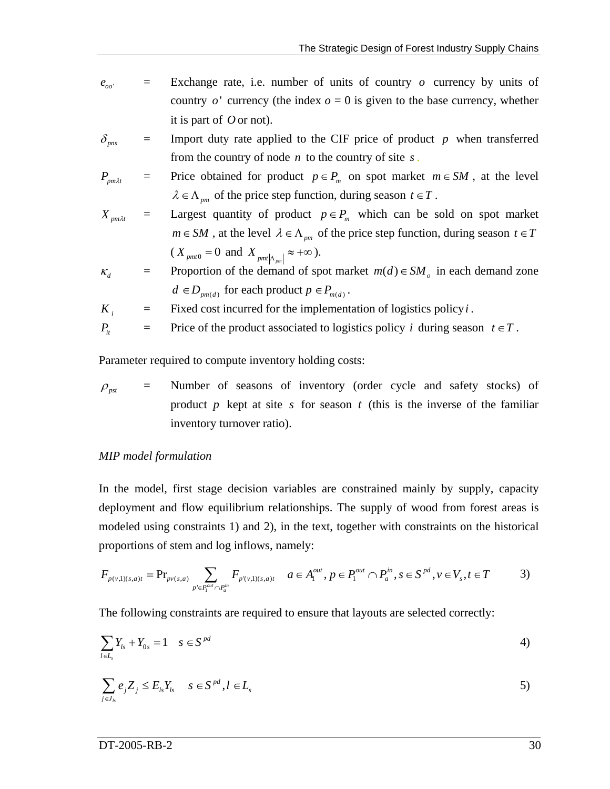- $e_{oo}$  = Exchange rate, i.e. number of units of country *o* currency by units of country  $o'$  currency (the index  $o = 0$  is given to the base currency, whether it is part of  $O$  or not).
- $\delta_{\text{pns}}$  = Import duty rate applied to the CIF price of product *p* when transferred from the country of node *n* to the country of site *s* .

$$
P_{pm\lambda t} = \text{Price obtained for product } p \in P_m \text{ on spot market } m \in SM \text{, at the level } \lambda \in \Lambda_{pm} \text{ of the price step function, during season } t \in T.
$$

$$
X_{pm\lambda t} =
$$
Largest quantity of product  $p \in P_m$  which can be sold on spot market  
\n $m \in SM$ , at the level  $\lambda \in \Lambda_{pm}$  of the price step function, during season  $t \in T$   
\n $(X_{pm0} = 0 \text{ and } X_{pm|\Lambda_{pm}|} \approx +\infty).$ 

$$
\kappa_d = \text{Proportion of the demand of spot market } m(d) \in SM_o \text{ in each demand zone} \\
d \in D_{pm(d)} \text{ for each product } p \in P_{m(d)}.
$$

$$
K_i =
$$
 Fixed cost incurred for the implementation of logistics policy *i*.

$$
P_{it} = \text{Price of the product associated to logistics policy } i \text{ during season } t \in T.
$$

Parameter required to compute inventory holding costs:

 $\rho_{\rm\_{pot}}$  = Number of seasons of inventory (order cycle and safety stocks) of product  $p$  kept at site  $s$  for season  $t$  (this is the inverse of the familiar inventory turnover ratio).

#### *MIP model formulation*

In the model, first stage decision variables are constrained mainly by supply, capacity deployment and flow equilibrium relationships. The supply of wood from forest areas is modeled using constraints 1) and 2), in the text, together with constraints on the historical proportions of stem and log inflows, namely:

$$
F_{p(v,1)(s,a)t} = \text{Pr}_{p(v,s,a)} \sum_{p' \in P_1^{out} \cap P_a^{in}} F_{p(v,1)(s,a)t} \quad a \in A_1^{out}, p \in P_1^{out} \cap P_a^{in}, s \in S^{pd}, v \in V_s, t \in T
$$

The following constraints are required to ensure that layouts are selected correctly:

$$
\sum_{l\in L_s} Y_{ls} + Y_{0s} = 1 \quad s \in S^{pd} \tag{4}
$$

$$
\sum_{j\in J_{ls}}e_jZ_j\leq E_{ls}Y_{ls} \quad s\in S^{pd}, l\in L_s
$$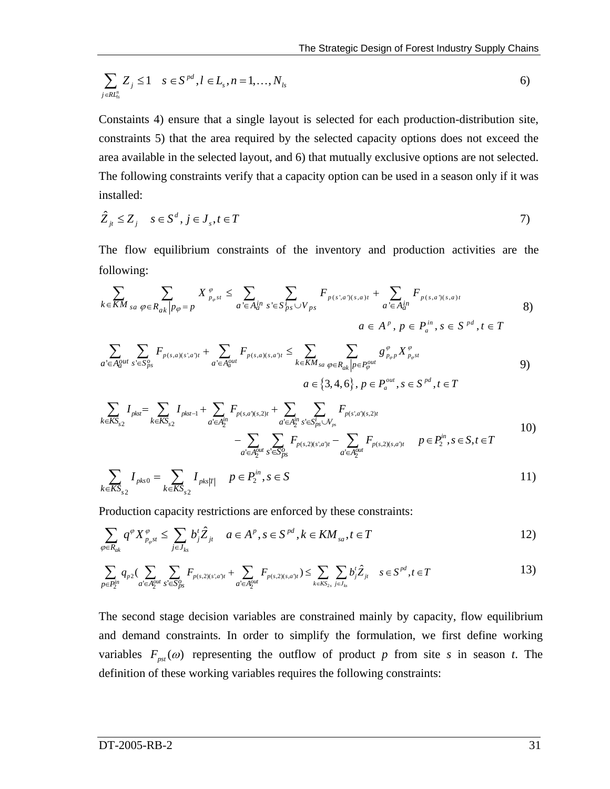$$
\sum_{j \in R_{I_s}^n} Z_j \le 1 \quad s \in S^{pd}, l \in L_s, n = 1, ..., N_{ls}
$$
 (6)

Constaints 4) ensure that a single layout is selected for each production-distribution site, constraints 5) that the area required by the selected capacity options does not exceed the area available in the selected layout, and 6) that mutually exclusive options are not selected. The following constraints verify that a capacity option can be used in a season only if it was installed:

$$
\hat{Z}_{jt} \le Z_j \quad s \in S^d, j \in J_s, t \in T
$$

The flow equilibrium constraints of the inventory and production activities are the following:

$$
\sum_{k \in KM_{sa}} \sum_{\varphi \in R_{ak} | p_{\varphi} = p} X_{p_{\varphi} s t}^{\varphi} \leq \sum_{a' \in A_{a}^{in}} \sum_{s' \in S_{ps}^{i} \cup V_{ps}} F_{p(s; a)(s, a)t} + \sum_{a' \in A_{a}^{in}} F_{p(s, a)(s, a)t}
$$
  
8)  

$$
a \in A^{p}, p \in P_{a}^{in}, s \in S^{pd}, t \in T
$$

$$
\sum_{a' \in A_a^{out}} \sum_{s' \in S_{ps}^o} F_{p(s,a)(s',a')t} + \sum_{a' \in A_a^{out}} F_{p(s,a)(s,a')t} \le \sum_{k \in KM_{sa}} \sum_{\varphi \in R_{ak} \mid p \in P_{\varphi}^{out}} g_{p_{\varphi} p}^{\varphi} X_{p_{\varphi} st}^{\varphi}
$$
\n
$$
a \in \{3, 4, 6\}, p \in P_a^{out}, s \in S^{pd}, t \in T
$$
\n
$$
(9)
$$

$$
\sum_{k \in KS_{s2}} I_{pks} = \sum_{k \in KS_{s2}} I_{pkst-1} + \sum_{a' \in A_2^{in}} F_{p(s,a')(s,2)t} + \sum_{a' \in A_2^{in}} \sum_{s' \in S_{ps}^{i} \cup V_{ps}} F_{p(s',a')(s,2)t} \n- \sum_{a' \in A_2^{out}} \sum_{s' \in S_{ps}^{o}} F_{p(s,2)(s',a')t} - \sum_{a' \in A_2^{out}} F_{p(s,2)(s,a')t} \qquad p \in P_2^{in}, s \in S, t \in T
$$
\n(10)

$$
\sum_{k \in KS_{s2}} I_{pks0} = \sum_{k \in KS_{s2}} I_{pks|T|} \quad p \in P_2^{in}, s \in S
$$
 (11)

Production capacity restrictions are enforced by these constraints:

$$
\sum_{\varphi \in R_{ak}} q^{\varphi} X_{p_{\varphi} s t}^{\varphi} \le \sum_{j \in J_{ks}} b_j^t \hat{Z}_{jt} \quad a \in A^p, s \in S^{pd}, k \in KM_{sa}, t \in T
$$

$$
\sum_{p \in P_2^{\text{in}}} q_{p2} (\sum_{a' \in A_2^{\text{out}}} \sum_{s' \in S_{ps}^o} F_{p(s,2)(s',a')t} + \sum_{a' \in A_2^{\text{out}}} F_{p(s,2)(s,a')t}) \le \sum_{k \in K S_{2s}} \sum_{j \in J_k} b'_j \hat{Z}_{jt} \quad s \in S^{pd}, t \in T
$$

The second stage decision variables are constrained mainly by capacity, flow equilibrium and demand constraints. In order to simplify the formulation, we first define working variables  $F_{pst}(\omega)$  representing the outflow of product *p* from site *s* in season *t*. The definition of these working variables requires the following constraints: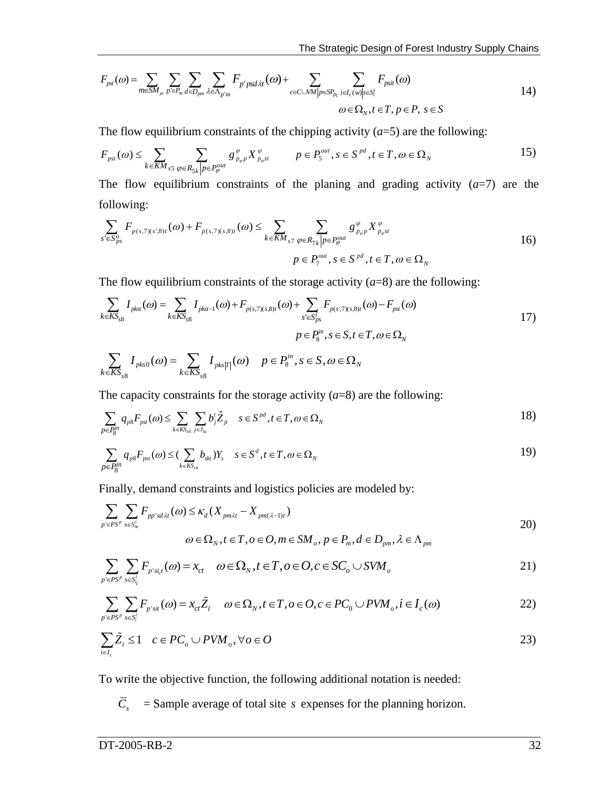$$
F_{\text{pst}}(\omega) = \sum_{m \in \mathcal{SM}_{\text{pr}}} \sum_{p' \in P_m} \sum_{d \in D_{\text{pm}}} \sum_{\lambda \in \Lambda_{p'm}} F_{p' \text{psd}\lambda t}(\omega) + \sum_{c \in \mathcal{CNM} \mid p \in \mathcal{SP}_{p_c}} \sum_{i \in I_c(w) \mid s \in \mathcal{S}_i'} F_{\text{psit}}(\omega) \tag{14}
$$
  

$$
\omega \in \Omega_N, t \in T, p \in P, s \in S
$$

The flow equilibrium constraints of the chipping activity  $(a=5)$  are the following:

$$
F_{\text{psf}}(\omega) \le \sum_{k \in KM_{s5}} \sum_{\varphi \in R_{5k} | p \in P_{\varphi}^{\text{out}}} g_{\text{p}_{\varphi} \text{p}}^{\varphi} X_{\text{p}_{\varphi} \text{st}}^{\varphi} \qquad p \in P_{5}^{\text{out}}, s \in S^{\text{pd}}, t \in T, \omega \in \Omega_{N} \qquad (15)
$$

The flow equilibrium constraints of the planing and grading activity  $(a=7)$  are the following:

$$
\sum_{s' \in S_{ps}^o} F_{p(s,7)(s',8)t}(\omega) + F_{p(s,7)(s,8)t}(\omega) \le \sum_{k \in KM_{s7}} \sum_{\varphi \in R_{7k} | p \in P_{\varphi}^{out}} g_{p_{\varphi}p}^{\varphi} X_{p_{\varphi}st}^{\varphi}
$$
  

$$
p \in P_7^{out}, s \in S^{pd}, t \in T, \omega \in \Omega_N
$$

The flow equilibrium constraints of the storage activity  $(a=8)$  are the following:

$$
\sum_{k \in KS_{s8}} I_{pkst}(\omega) = \sum_{k \in KS_{s8}} I_{pkst-1}(\omega) + F_{p(s,7)(s,8)t}(\omega) + \sum_{s' \in S_{ps}^t} F_{p(s',7)(s,8)t}(\omega) - F_{pst}(\omega)
$$
  

$$
p \in P_8^m, s \in S, t \in T, \omega \in \Omega_N
$$

$$
\sum_{k \in KS_{s8}} I_{\mathit{pts0}}(\omega) = \sum_{k \in KS_{s8}} I_{\mathit{pks}|T|}(\omega) \quad p \in P_8^{\mathit{in}}, s \in S, \omega \in \Omega_N
$$

The capacity constraints for the storage activity  $(a=8)$  are the following:

$$
\sum_{p \in P_S^m} q_{ps} F_{ps}(a) \le \sum_{k \in K S_{ss}} \sum_{j \in J_{ks}} b_j^t \hat{Z}_{jt} \quad s \in S^{pd}, t \in T, \omega \in \Omega_N
$$

$$
\sum_{p \in P_S^{in}} q_{ps} F_{psf}(\omega) \leq (\sum_{k \in KS_{ss}} b_{skf}) Y_s \quad s \in S^d, t \in T, \omega \in \Omega_N
$$
 (19)

Finally, demand constraints and logistics policies are modeled by:

$$
\sum_{p' \in PS^{p}} \sum_{s \in S_m^i} F_{pp'sd\lambda t}(\omega) \le \kappa_d (X_{pm\lambda t} - X_{pm(\lambda - 1)t})
$$
  

$$
\omega \in \Omega_N, t \in T, o \in O, m \in SM_o, p \in P_m, d \in D_{pm}, \lambda \in \Lambda_{pm}
$$

$$
\sum_{p' \in PS^p} \sum_{s \in S_{i_c}^i} F_{p's_{i,c}^i}(\omega) = x_{ct} \quad \omega \in \Omega_N, t \in T, o \in O, c \in SC_o \cup SVM_o
$$

$$
\sum_{p' \in PS^p} \sum_{s \in S_i^i} F_{p'sit}(\omega) = x_{ct} \tilde{Z}_i \quad \omega \in \Omega_N, t \in T, o \in O, c \in PC_0 \cup PVM_o, i \in I_c(\omega)
$$

$$
\sum_{i \in I_c} \tilde{Z}_i \le 1 \quad c \in PC_o \cup PVM_o, \forall o \in O
$$

To write the objective function, the following additional notation is needed:

 $\overline{C}_s$  = Sample average of total site *s* expenses for the planning horizon.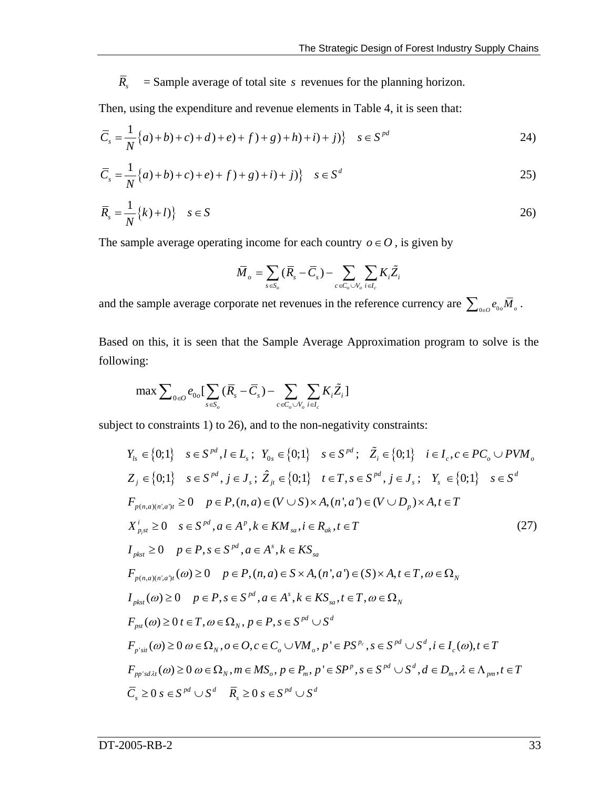$\overline{R}_s$  = Sample average of total site *s* revenues for the planning horizon.

Then, using the expenditure and revenue elements in Table 4, it is seen that:

$$
\overline{C}_s = \frac{1}{N} \{a+b+c+d+c+d+g+f+g+h+i+f\} \quad s \in S^{pd}
$$

$$
\overline{C}_s = \frac{1}{N} \{a) + b\} + c\} + e\} + f\} + g\} + i\} \quad s \in S^d \tag{25}
$$

$$
\overline{R}_s = \frac{1}{N} \{k\} + l \} \quad s \in S
$$

The sample average operating income for each country  $o \in O$ , is given by

$$
\bar{M}_{_o} = \sum_{s \in S_o} (\bar{R}_{_s} - \bar{C}_{_s}) - \sum_{c \in C_o \cup V_o} \sum_{i \in I_c} K_i \tilde{Z}_i
$$

and the sample average corporate net revenues in the reference currency are  $\sum_{\theta \in \theta} e_{\theta \phi} \overline{M}_{\theta}$ .

Based on this, it is seen that the Sample Average Approximation program to solve is the following:

$$
\max \sum\nolimits_{0 \in O} e_{0o} \left[ \sum_{s \in S_o} (\overline{R}_s - \overline{C}_s) - \sum_{c \in C_o \cup V_o} \sum_{i \in I_c} K_i \widetilde{Z}_i \right]
$$

subject to constraints 1) to 26), and to the non-negativity constraints:

$$
Y_{ls} \in \{0;1\} \quad s \in S^{pd}, l \in L_s; \quad Y_{0s} \in \{0;1\} \quad s \in S^{pd}; \quad \tilde{Z}_i \in \{0;1\} \quad i \in I_c, c \in PC_o \cup PVM_o
$$
  
\n
$$
Z_j \in \{0;1\} \quad s \in S^{pd}, j \in J_s; \quad \hat{Z}_{jt} \in \{0;1\} \quad t \in T, s \in S^{pd}, j \in J_s; \quad Y_s \in \{0;1\} \quad s \in S^d
$$
  
\n
$$
F_{p(n,a)(n',a')t} \ge 0 \quad p \in P, (n,a) \in (V \cup S) \times A, (n',a') \in (V \cup D_p) \times A, t \in T
$$
  
\n
$$
X_{p,st}^i \ge 0 \quad s \in S^{pd}, a \in A^p, k \in KM_{sa}, i \in R_{ak}, t \in T
$$
  
\n
$$
I_{pkst} \ge 0 \quad p \in P, s \in S^{pd}, a \in A^s, k \in KS_{sa}
$$
  
\n
$$
F_{p(n,a)(n',a')t}(a) \ge 0 \quad p \in P, (n,a) \in S \times A, (n',a') \in (S) \times A, t \in T, a \in \Omega_N
$$
  
\n
$$
I_{pkst}(a) \ge 0 \quad p \in P, s \in S^{pd}, a \in A^s, k \in KS_{sa}, t \in T, a \in \Omega_N
$$
  
\n
$$
F_{pst}(a) \ge 0 \quad t \in T, a \in \Omega_N, p \in P, s \in S^{pd} \cup S^d
$$
  
\n
$$
F_{p'sit}(a) \ge 0 \quad a \in \Omega_N, o \in O, c \in C_o \cup VM_o, p' \in PS^{p_c}, s \in S^{pd} \cup S^d, i \in I_c(a), t \in T
$$
  
\n
$$
F_{p'sit}(a) \ge 0 \quad a \in \Omega_N, m \in MS_o, p \in P_m, p' \in SP^p, s \in S^{pd} \cup S^d, d \in D_m, \lambda \in \Lambda_{pm}, t \in T
$$
  
\n
$$
\overline{C}_s \ge 0 \quad s \in S^{pd} \cup S^d \quad
$$